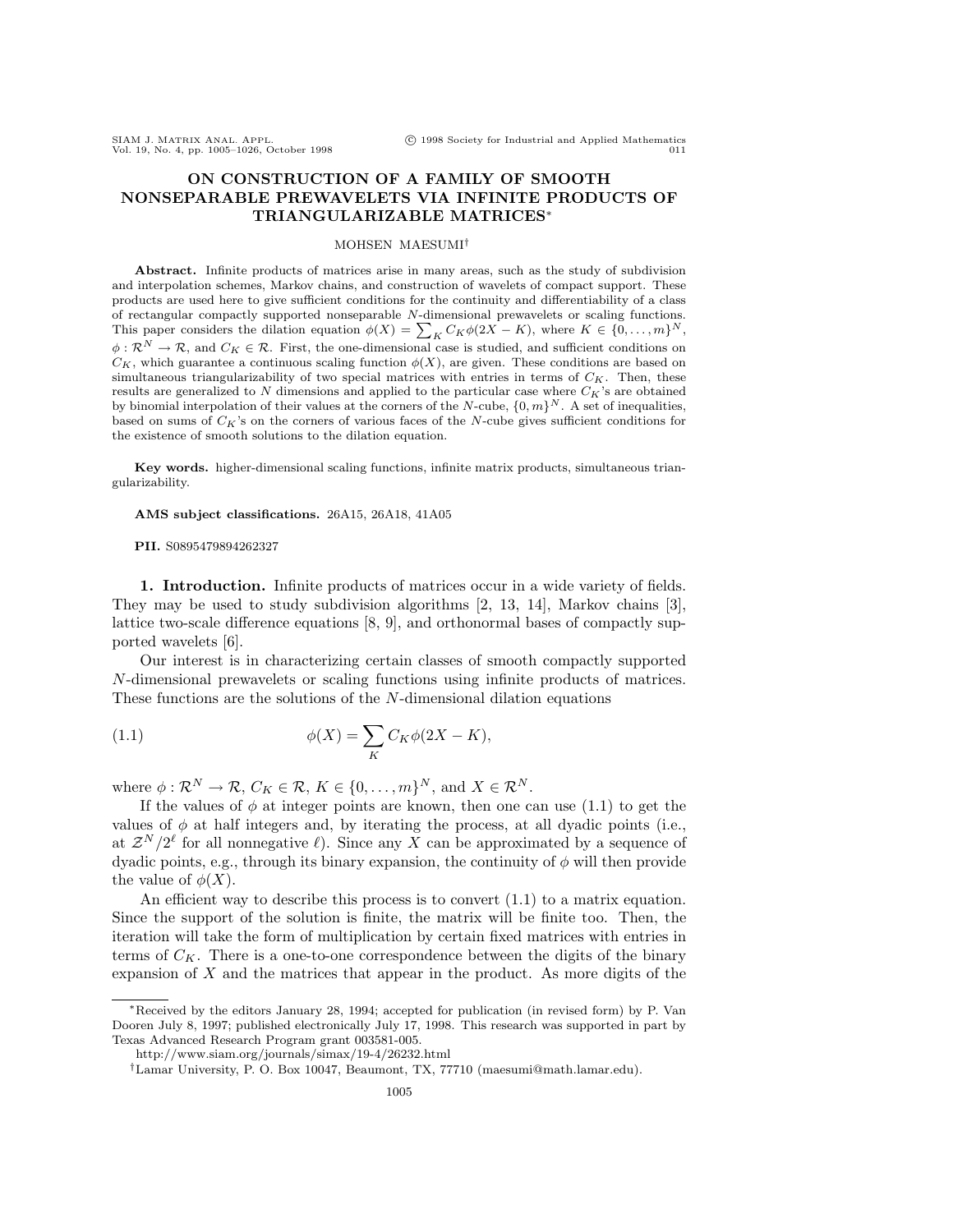# **ON CONSTRUCTION OF A FAMILY OF SMOOTH NONSEPARABLE PREWAVELETS VIA INFINITE PRODUCTS OF TRIANGULARIZABLE MATRICES**<sup>∗</sup>

## MOHSEN MAESUMI†

**Abstract.** Infinite products of matrices arise in many areas, such as the study of subdivision and interpolation schemes, Markov chains, and construction of wavelets of compact support. These products are used here to give sufficient conditions for the continuity and differentiability of a class of rectangular compactly supported nonseparable N-dimensional prewavelets or scaling functions. This paper considers the dilation equation  $\phi(X) = \sum_{K} C_{K} \phi(2X - K)$ , where  $K \in \{0, ..., m\}^{N}$ ,  $\phi : \mathcal{R}^N \to \mathcal{R}$ , and  $C_K \in \mathcal{R}$ . First, the one-dimensional case is studied, and sufficient conditions on  $C_K$ , which guarantee a continuous scaling function  $\phi(X)$ , are given. These conditions are based on simultaneous triangularizability of two special matrices with entries in terms of  $C_K$ . Then, these results are generalized to N dimensions and applied to the particular case where  $C_K$ 's are obtained by binomial interpolation of their values at the corners of the N-cube,  ${0,m}^N$ . A set of inequalities, based on sums of  $C_K$ 's on the corners of various faces of the N-cube gives sufficient conditions for the existence of smooth solutions to the dilation equation.

**Key words.** higher-dimensional scaling functions, infinite matrix products, simultaneous triangularizability.

**AMS subject classifications.** 26A15, 26A18, 41A05

**PII.** S0895479894262327

**1. Introduction.** Infinite products of matrices occur in a wide variety of fields. They may be used to study subdivision algorithms [2, 13, 14], Markov chains [3], lattice two-scale difference equations [8, 9], and orthonormal bases of compactly supported wavelets [6].

Our interest is in characterizing certain classes of smooth compactly supported N-dimensional prewavelets or scaling functions using infinite products of matrices. These functions are the solutions of the N-dimensional dilation equations

(1.1) 
$$
\phi(X) = \sum_{K} C_K \phi(2X - K),
$$

where  $\phi : \mathcal{R}^N \to \mathcal{R}, C_K \in \mathcal{R}, K \in \{0, \ldots, m\}^N$ , and  $X \in \mathcal{R}^N$ .

If the values of  $\phi$  at integer points are known, then one can use (1.1) to get the values of  $\phi$  at half integers and, by iterating the process, at all dyadic points (i.e., at  $\mathcal{Z}^N/2^{\ell}$  for all nonnegative  $\ell$ ). Since any X can be approximated by a sequence of dyadic points, e.g., through its binary expansion, the continuity of  $\phi$  will then provide the value of  $\phi(X)$ .

An efficient way to describe this process is to convert  $(1.1)$  to a matrix equation. Since the support of the solution is finite, the matrix will be finite too. Then, the iteration will take the form of multiplication by certain fixed matrices with entries in terms of  $C_K$ . There is a one-to-one correspondence between the digits of the binary expansion of  $X$  and the matrices that appear in the product. As more digits of the

<sup>∗</sup>Received by the editors January 28, 1994; accepted for publication (in revised form) by P. Van Dooren July 8, 1997; published electronically July 17, 1998. This research was supported in part by Texas Advanced Research Program grant 003581-005.

http://www.siam.org/journals/simax/19-4/26232.html

<sup>†</sup>Lamar University, P. O. Box 10047, Beaumont, TX, 77710 (maesumi@math.lamar.edu).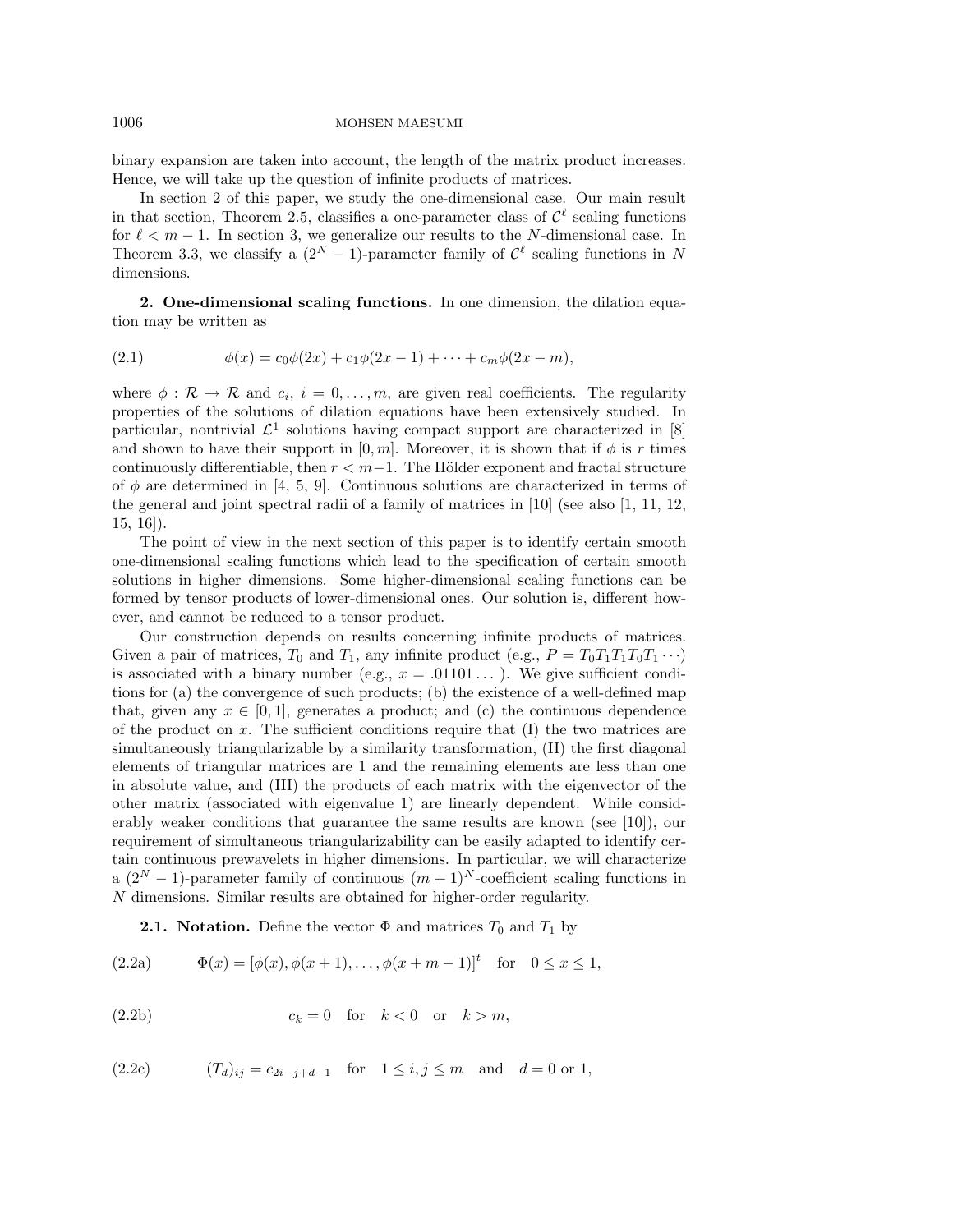binary expansion are taken into account, the length of the matrix product increases. Hence, we will take up the question of infinite products of matrices.

In section 2 of this paper, we study the one-dimensional case. Our main result in that section, Theorem 2.5, classifies a one-parameter class of  $\mathcal{C}^{\ell}$  scaling functions for  $\ell < m - 1$ . In section 3, we generalize our results to the N-dimensional case. In Theorem 3.3, we classify a  $(2^N - 1)$ -parameter family of  $\mathcal{C}^{\ell}$  scaling functions in N dimensions.

**2. One-dimensional scaling functions.** In one dimension, the dilation equation may be written as

(2.1) 
$$
\phi(x) = c_0 \phi(2x) + c_1 \phi(2x - 1) + \dots + c_m \phi(2x - m),
$$

where  $\phi : \mathcal{R} \to \mathcal{R}$  and  $c_i$ ,  $i = 0, \ldots, m$ , are given real coefficients. The regularity properties of the solutions of dilation equations have been extensively studied. In particular, nontrivial  $\mathcal{L}^1$  solutions having compact support are characterized in [8] and shown to have their support in  $[0, m]$ . Moreover, it is shown that if  $\phi$  is r times continuously differentiable, then  $r < m-1$ . The Hölder exponent and fractal structure of  $\phi$  are determined in [4, 5, 9]. Continuous solutions are characterized in terms of the general and joint spectral radii of a family of matrices in [10] (see also [1, 11, 12, 15, 16]).

The point of view in the next section of this paper is to identify certain smooth one-dimensional scaling functions which lead to the specification of certain smooth solutions in higher dimensions. Some higher-dimensional scaling functions can be formed by tensor products of lower-dimensional ones. Our solution is, different however, and cannot be reduced to a tensor product.

Our construction depends on results concerning infinite products of matrices. Given a pair of matrices,  $T_0$  and  $T_1$ , any infinite product (e.g.,  $P = T_0T_1T_1T_0T_1\cdots$ ) is associated with a binary number (e.g.,  $x = .01101...$  ). We give sufficient conditions for (a) the convergence of such products; (b) the existence of a well-defined map that, given any  $x \in [0,1]$ , generates a product; and (c) the continuous dependence of the product on  $x$ . The sufficient conditions require that  $(I)$  the two matrices are simultaneously triangularizable by a similarity transformation, (II) the first diagonal elements of triangular matrices are 1 and the remaining elements are less than one in absolute value, and (III) the products of each matrix with the eigenvector of the other matrix (associated with eigenvalue 1) are linearly dependent. While considerably weaker conditions that guarantee the same results are known (see [10]), our requirement of simultaneous triangularizability can be easily adapted to identify certain continuous prewavelets in higher dimensions. In particular, we will characterize a  $(2^N - 1)$ -parameter family of continuous  $(m + 1)^N$ -coefficient scaling functions in N dimensions. Similar results are obtained for higher-order regularity.

**2.1. Notation.** Define the vector  $\Phi$  and matrices  $T_0$  and  $T_1$  by

(2.2a) 
$$
\Phi(x) = [\phi(x), \phi(x+1), \dots, \phi(x+m-1)]^t \text{ for } 0 \le x \le 1,
$$

$$
(2.2b) \t\t c_k = 0 \t for \t k < 0 \t or \t k > m,
$$

(2.2c) 
$$
(T_d)_{ij} = c_{2i-j+d-1}
$$
 for  $1 \le i, j \le m$  and  $d = 0$  or 1,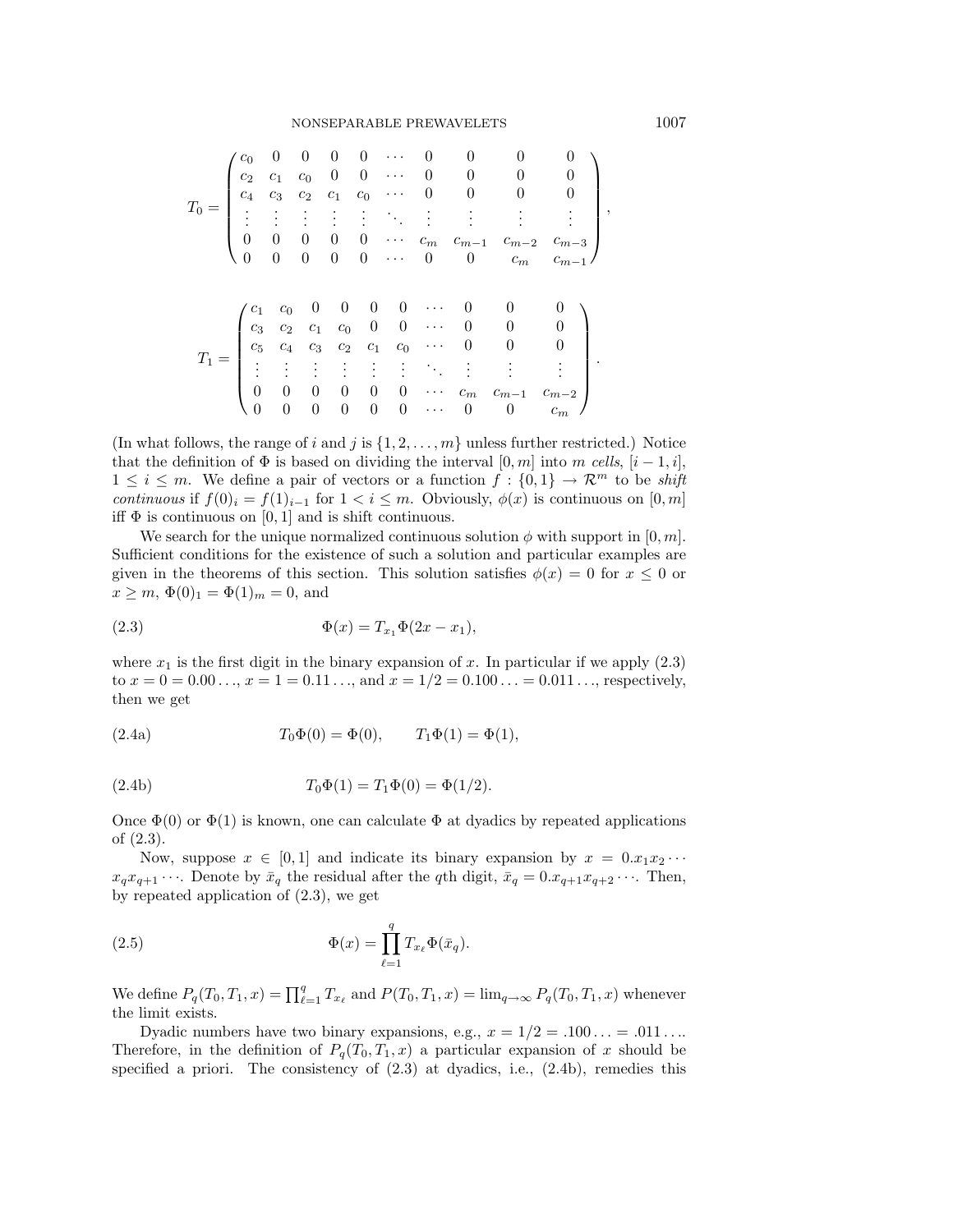$$
T_0 = \begin{pmatrix} c_0 & 0 & 0 & 0 & 0 & \cdots & 0 & 0 & 0 & 0 & 0 \\ c_2 & c_1 & c_0 & 0 & 0 & \cdots & 0 & 0 & 0 & 0 \\ c_4 & c_3 & c_2 & c_1 & c_0 & \cdots & 0 & 0 & 0 & 0 \\ \vdots & \vdots & \vdots & \vdots & \vdots & \ddots & \vdots & \vdots & \vdots & \vdots \\ 0 & 0 & 0 & 0 & 0 & \cdots & c_m & c_{m-1} & c_{m-2} & c_{m-3} \\ 0 & 0 & 0 & 0 & 0 & \cdots & 0 & 0 & c_m & c_{m-1} \end{pmatrix},
$$

$$
T_1 = \begin{pmatrix} c_1 & c_0 & 0 & 0 & 0 & \cdots & 0 & 0 & 0 \\ c_3 & c_2 & c_1 & c_0 & 0 & 0 & \cdots & 0 & 0 & 0 \\ c_5 & c_4 & c_3 & c_2 & c_1 & c_0 & \cdots & 0 & 0 & 0 \\ \vdots & \vdots & \vdots & \vdots & \vdots & \vdots & \ddots & \vdots & \vdots & \vdots \\ 0 & 0 & 0 & 0 & 0 & \cdots & c_m & c_{m-1} & c_{m-2} \\ 0 & 0 & 0 & 0 & 0 & \cdots & 0 & 0 & c_m \end{pmatrix}.
$$

(In what follows, the range of i and j is  $\{1, 2, \ldots, m\}$  unless further restricted.) Notice that the definition of  $\Phi$  is based on dividing the interval  $[0, m]$  into m cells,  $[i - 1, i]$ ,  $1 \leq i \leq m$ . We define a pair of vectors or a function  $f : \{0,1\} \to \mathcal{R}^m$  to be shift continuous if  $f(0)$ <sub>i</sub> =  $f(1)$ <sub>i-1</sub> for  $1 < i \leq m$ . Obviously,  $\phi(x)$  is continuous on [0, m] iff  $\Phi$  is continuous on [0, 1] and is shift continuous.

We search for the unique normalized continuous solution  $\phi$  with support in [0, m]. Sufficient conditions for the existence of such a solution and particular examples are given in the theorems of this section. This solution satisfies  $\phi(x) = 0$  for  $x \leq 0$  or  $x \geq m, \, \Phi(0)_1 = \Phi(1)_m = 0$ , and

(2.3) 
$$
\Phi(x) = T_{x_1} \Phi(2x - x_1),
$$

where  $x_1$  is the first digit in the binary expansion of x. In particular if we apply (2.3) to  $x = 0 = 0.00 \ldots$ ,  $x = 1 = 0.11 \ldots$ , and  $x = 1/2 = 0.100 \ldots = 0.011 \ldots$ , respectively, then we get

(2.4a) 
$$
T_0\Phi(0) = \Phi(0), \qquad T_1\Phi(1) = \Phi(1),
$$

(2.4b) 
$$
T_0\Phi(1) = T_1\Phi(0) = \Phi(1/2).
$$

Once  $\Phi(0)$  or  $\Phi(1)$  is known, one can calculate  $\Phi$  at dyadics by repeated applications of (2.3).

Now, suppose  $x \in [0,1]$  and indicate its binary expansion by  $x = 0.x_1x_2\cdots$  $x_q x_{q+1} \cdots$ . Denote by  $\bar{x}_q$  the residual after the qth digit,  $\bar{x}_q = 0.x_{q+1}x_{q+2} \cdots$ . Then, by repeated application of (2.3), we get

(2.5) 
$$
\Phi(x) = \prod_{\ell=1}^q T_{x_\ell} \Phi(\bar{x}_q).
$$

We define  $P_q(T_0, T_1, x) = \prod_{\ell=1}^q T_{x_\ell}$  and  $P(T_0, T_1, x) = \lim_{q \to \infty} P_q(T_0, T_1, x)$  whenever the limit exists.

Dyadic numbers have two binary expansions, e.g.,  $x = 1/2 = .100... = .011...$ Therefore, in the definition of  $P_q(T_0, T_1, x)$  a particular expansion of x should be specified a priori. The consistency of  $(2.3)$  at dyadics, i.e.,  $(2.4b)$ , remedies this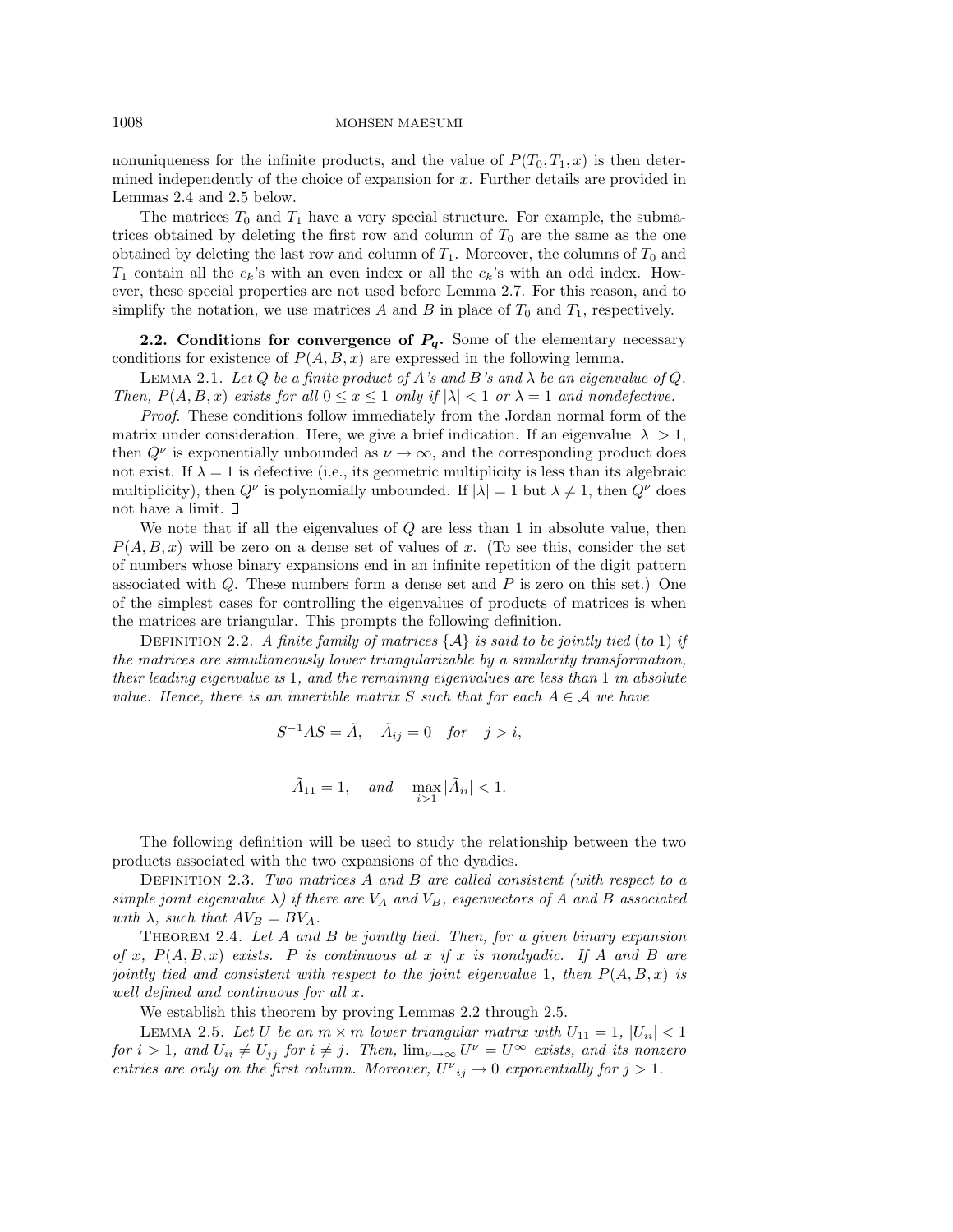nonuniqueness for the infinite products, and the value of  $P(T_0, T_1, x)$  is then determined independently of the choice of expansion for x. Further details are provided in Lemmas 2.4 and 2.5 below.

The matrices  $T_0$  and  $T_1$  have a very special structure. For example, the submatrices obtained by deleting the first row and column of  $T_0$  are the same as the one obtained by deleting the last row and column of  $T_1$ . Moreover, the columns of  $T_0$  and  $T_1$  contain all the  $c_k$ 's with an even index or all the  $c_k$ 's with an odd index. However, these special properties are not used before Lemma 2.7. For this reason, and to simplify the notation, we use matrices A and B in place of  $T_0$  and  $T_1$ , respectively.

**2.2.** Conditions for convergence of  $P_q$ . Some of the elementary necessary conditions for existence of  $P(A, B, x)$  are expressed in the following lemma.

LEMMA 2.1. Let Q be a finite product of A's and B's and  $\lambda$  be an eigenvalue of Q. Then,  $P(A, B, x)$  exists for all  $0 \le x \le 1$  only if  $|\lambda| < 1$  or  $\lambda = 1$  and nondefective.

Proof. These conditions follow immediately from the Jordan normal form of the matrix under consideration. Here, we give a brief indication. If an eigenvalue  $|\lambda| > 1$ , then  $Q^{\nu}$  is exponentially unbounded as  $\nu \to \infty$ , and the corresponding product does not exist. If  $\lambda = 1$  is defective (i.e., its geometric multiplicity is less than its algebraic multiplicity), then  $Q^{\nu}$  is polynomially unbounded. If  $|\lambda| = 1$  but  $\lambda \neq 1$ , then  $Q^{\nu}$  does not have a limit.

We note that if all the eigenvalues of  $Q$  are less than 1 in absolute value, then  $P(A, B, x)$  will be zero on a dense set of values of x. (To see this, consider the set of numbers whose binary expansions end in an infinite repetition of the digit pattern associated with  $Q$ . These numbers form a dense set and  $P$  is zero on this set.) One of the simplest cases for controlling the eigenvalues of products of matrices is when the matrices are triangular. This prompts the following definition.

DEFINITION 2.2. A finite family of matrices  $\{\mathcal{A}\}\$ is said to be jointly tied (to 1) if the matrices are simultaneously lower triangularizable by a similarity transformation, their leading eigenvalue is 1, and the remaining eigenvalues are less than 1 in absolute value. Hence, there is an invertible matrix S such that for each  $A \in \mathcal{A}$  we have

$$
S^{-1}AS = \tilde{A}, \quad \tilde{A}_{ij} = 0 \quad \text{for} \quad j > i,
$$

$$
\tilde{A}_{11} = 1, \quad \text{and} \quad \max_{i > 1} |\tilde{A}_{ii}| < 1.
$$

The following definition will be used to study the relationship between the two products associated with the two expansions of the dyadics.

DEFINITION 2.3. Two matrices  $A$  and  $B$  are called consistent (with respect to a simple joint eigenvalue  $\lambda$ ) if there are  $V_A$  and  $V_B$ , eigenvectors of A and B associated with  $\lambda$ , such that  $AV_B = BV_A$ .

THEOREM 2.4. Let  $A$  and  $B$  be jointly tied. Then, for a given binary expansion of x,  $P(A, B, x)$  exists. P is continuous at x if x is nondyadic. If A and B are jointly tied and consistent with respect to the joint eigenvalue 1, then  $P(A, B, x)$  is well defined and continuous for all x.

We establish this theorem by proving Lemmas 2.2 through 2.5.

LEMMA 2.5. Let U be an  $m \times m$  lower triangular matrix with  $U_{11} = 1$ ,  $|U_{ii}| < 1$ for  $i > 1$ , and  $U_{ii} \neq U_{jj}$  for  $i \neq j$ . Then,  $\lim_{\nu \to \infty} U^{\nu} = U^{\infty}$  exists, and its nonzero entries are only on the first column. Moreover,  $U^{\nu}_{ij} \to 0$  exponentially for  $j > 1$ .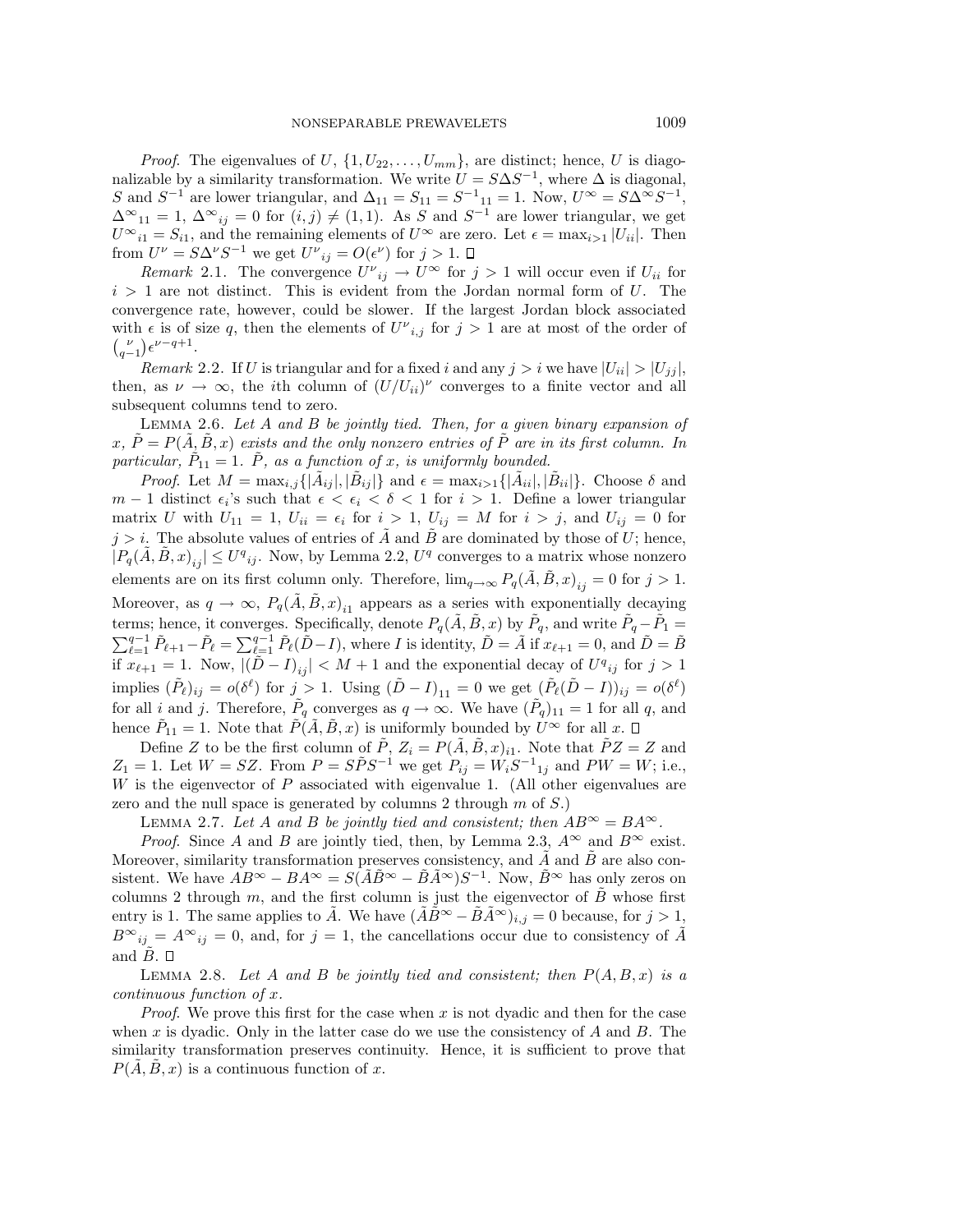*Proof.* The eigenvalues of U,  $\{1, U_{22}, \ldots, U_{mm}\}$ , are distinct; hence, U is diagonalizable by a similarity transformation. We write  $U = S\Delta S^{-1}$ , where  $\Delta$  is diagonal, S and  $S^{-1}$  are lower triangular, and  $\Delta_{11} = S_{11} = S^{-1}{}_{11} = 1$ . Now,  $U^{\infty} = S\Delta^{\infty}S^{-1}$ ,  $\Delta^{\infty}_{11} = 1, \ \Delta^{\infty}_{ij} = 0$  for  $(i, j) \neq (1, 1)$ . As S and S<sup>-1</sup> are lower triangular, we get  $U^{\infty}_{i1} = S_{i1}$ , and the remaining elements of  $U^{\infty}$  are zero. Let  $\epsilon = \max_{i>1} |U_{ii}|$ . Then from  $U^{\nu} = S\Delta^{\nu}S^{-1}$  we get  $U^{\nu}{}_{ij} = O(\epsilon^{\nu})$  for  $j > 1$ .

Remark 2.1. The convergence  $U^{\nu}{}_{ij} \to U^{\infty}$  for  $j > 1$  will occur even if  $U_{ii}$  for  $i > 1$  are not distinct. This is evident from the Jordan normal form of U. The convergence rate, however, could be slower. If the largest Jordan block associated with  $\epsilon$  is of size q, then the elements of  $U^{\nu}{}_{i,j}$  for  $j > 1$  are at most of the order of  ${\nu \choose q-1}\epsilon^{\nu-q+1}.$ 

Remark 2.2. If U is triangular and for a fixed i and any  $j>i$  we have  $|U_{ii}|>|U_{ij}|$ , then, as  $\nu \to \infty$ , the *i*th column of  $(U/U_{ii})^{\nu}$  converges to a finite vector and all subsequent columns tend to zero.

LEMMA 2.6. Let A and B be jointly tied. Then, for a given binary expansion of  $x, P = P(A, B, x)$  exists and the only nonzero entries of P are in its first column. In particular,  $\tilde{P}_{11} = 1$ .  $\tilde{P}$ , as a function of x, is uniformly bounded.

*Proof.* Let  $M = \max_{i,j} \{|\tilde{A}_{ij}|, |\tilde{B}_{ij}|\}$  and  $\epsilon = \max_{i>1} \{|\tilde{A}_{ii}|, |\tilde{B}_{ii}|\}$ . Choose  $\delta$  and  $m-1$  distinct  $\epsilon_i$ 's such that  $\epsilon < \epsilon_i < \delta < 1$  for  $i > 1$ . Define a lower triangular matrix U with  $U_{11} = 1$ ,  $U_{ii} = \epsilon_i$  for  $i > 1$ ,  $U_{ij} = M$  for  $i > j$ , and  $U_{ij} = 0$  for  $j>i$ . The absolute values of entries of  $\ddot{A}$  and  $\ddot{B}$  are dominated by those of U; hence,  $|P_q(\tilde{A}, \tilde{B}, x)_{ij}| \le U^q_{ij}$ . Now, by Lemma 2.2,  $U^q$  converges to a matrix whose nonzero elements are on its first column only. Therefore,  $\lim_{q\to\infty} P_q(\hat{A}, \hat{B}, x)_{ij} = 0$  for  $j > 1$ . Moreover, as  $q \to \infty$ ,  $P_q(\tilde{A}, \tilde{B}, x)_{i_1}$  appears as a series with exponentially decaying terms; hence, it converges. Specifically, denote  $P_q(\tilde{A}, \tilde{B}, x)$  by  $\tilde{P}_q$ , and write  $\tilde{P}_q - \tilde{P}_1 =$  $\sum_{\ell=1}^{q-1} \tilde{P}_{\ell+1} - \tilde{P}_{\ell} = \sum_{\ell=1}^{q-1} \tilde{P}_{\ell}(\tilde{D} - I)$ , where I is identity,  $\tilde{D} = \tilde{A}$  if  $x_{\ell+1} = 0$ , and  $\tilde{D} = \tilde{B}$ if  $x_{\ell+1} = 1$ . Now,  $|(\tilde{D} - I)_{ij}| < M + 1$  and the exponential decay of  $U^q{}_{ij}$  for  $j > 1$ implies  $(\tilde{P}_{\ell})_{ij} = o(\delta^{\ell})$  for  $j > 1$ . Using  $(\tilde{D} - I)_{11} = 0$  we get  $(\tilde{P}_{\ell}(\tilde{D} - I))_{ij} = o(\delta^{\ell})$ for all i and j. Therefore,  $\tilde{P}_q$  converges as  $q \to \infty$ . We have  $(\tilde{P}_q)_{11} = 1$  for all q, and hence  $\tilde{P}_{11} = 1$ . Note that  $\tilde{P}(\tilde{A}, \tilde{B}, x)$  is uniformly bounded by  $U^{\infty}$  for all x.  $\Box$ 

Define Z to be the first column of  $\tilde{P}$ ,  $Z_i = P(\tilde{A}, \tilde{B}, x)_{i1}$ . Note that  $\tilde{P}Z = Z$  and  $Z_1 = 1$ . Let  $W = SZ$ . From  $P = S\tilde{P}S^{-1}$  we get  $P_{ij} = W_iS^{-1}I_{ij}$  and  $PW = W$ ; i.e., W is the eigenvector of  $P$  associated with eigenvalue 1. (All other eigenvalues are zero and the null space is generated by columns 2 through  $m$  of  $S$ .)

LEMMA 2.7. Let A and B be jointly tied and consistent; then  $AB^{\infty} = BA^{\infty}$ .

*Proof.* Since A and B are jointly tied, then, by Lemma 2.3,  $A^{\infty}$  and  $B^{\infty}$  exist. Moreover, similarity transformation preserves consistency, and  $\overline{A}$  and  $\overline{B}$  are also consistent. We have  $AB^{\infty} - BA^{\infty} = S(\tilde{A}\tilde{B}^{\infty} - \tilde{B}\tilde{A}^{\infty})S^{-1}$ . Now,  $\tilde{B}^{\infty}$  has only zeros on columns 2 through m, and the first column is just the eigenvector of  $\tilde{B}$  whose first entry is 1. The same applies to  $\hat{A}$ . We have  $(\hat{A}\hat{B}^{\infty} - \hat{B}\hat{A}^{\infty})_{i,j} = 0$  because, for  $j > 1$ ,  $B^{\infty}_{ij} = A^{\infty}_{ij} = 0$ , and, for  $j = 1$ , the cancellations occur due to consistency of  $\tilde{A}$ and  $B. \Box$ 

LEMMA 2.8. Let A and B be jointly tied and consistent; then  $P(A, B, x)$  is a continuous function of x.

*Proof.* We prove this first for the case when x is not dyadic and then for the case when  $x$  is dyadic. Only in the latter case do we use the consistency of  $A$  and  $B$ . The similarity transformation preserves continuity. Hence, it is sufficient to prove that  $P(\overline{A}, \overline{B}, x)$  is a continuous function of x.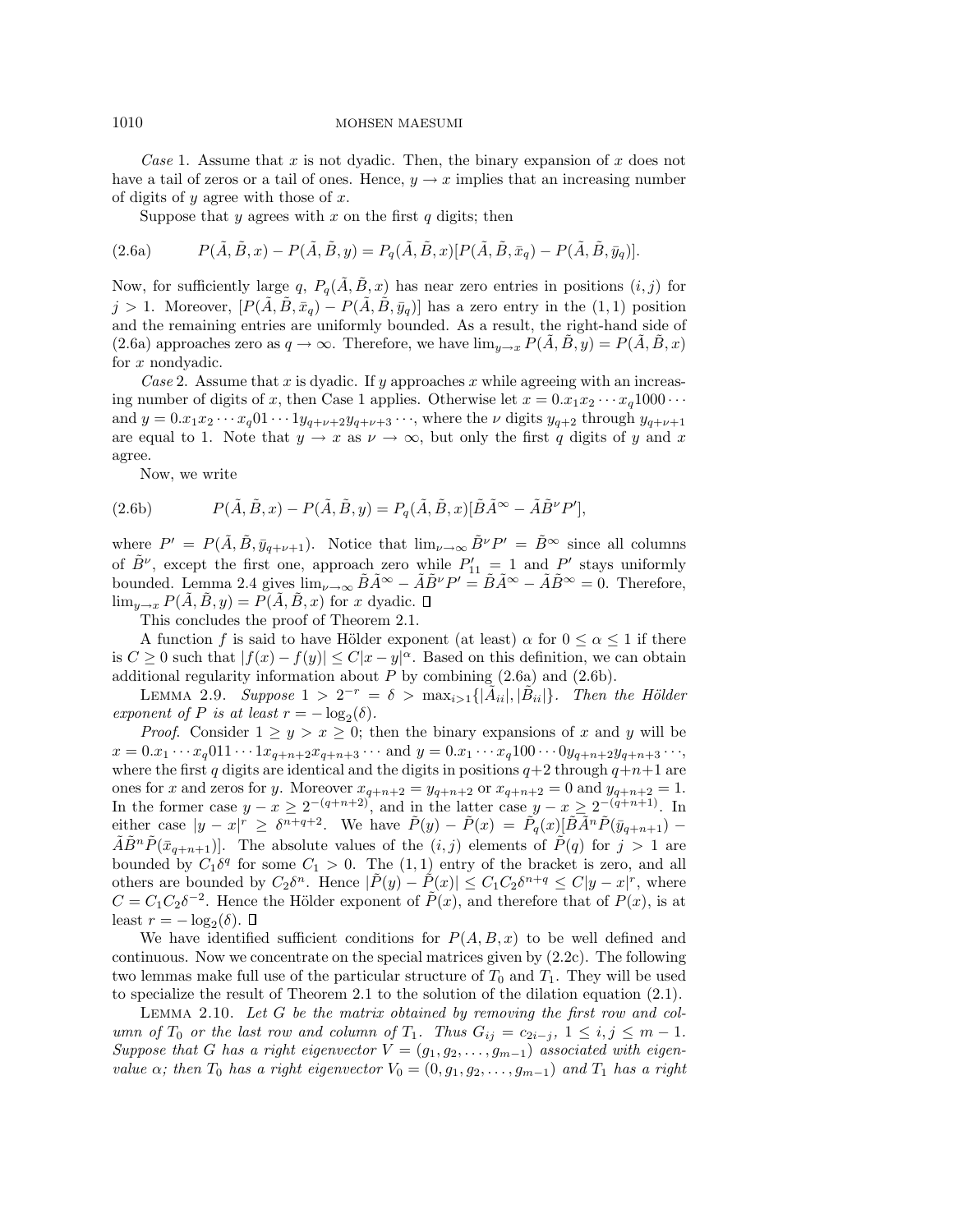Case 1. Assume that x is not dyadic. Then, the binary expansion of x does not have a tail of zeros or a tail of ones. Hence,  $y \to x$  implies that an increasing number of digits of  $y$  agree with those of  $x$ .

Suppose that y agrees with x on the first q digits; then

(2.6a) 
$$
P(\tilde{A}, \tilde{B}, x) - P(\tilde{A}, \tilde{B}, y) = P_q(\tilde{A}, \tilde{B}, x)[P(\tilde{A}, \tilde{B}, \bar{x}_q) - P(\tilde{A}, \tilde{B}, \bar{y}_q)].
$$

Now, for sufficiently large q,  $P_q(\tilde{A}, \tilde{B}, x)$  has near zero entries in positions  $(i, j)$  for j > 1. Moreover,  $[P(\tilde{A}, \tilde{B}, \bar{x}_q) - P(\tilde{A}, \tilde{B}, \bar{y}_q)]$  has a zero entry in the (1, 1) position and the remaining entries are uniformly bounded. As a result, the right-hand side of (2.6a) approaches zero as  $q \to \infty$ . Therefore, we have  $\lim_{y \to x} P(A, B, y) = P(A, B, x)$ for x nondyadic.

Case 2. Assume that x is dyadic. If y approaches x while agreeing with an increasing number of digits of x, then Case 1 applies. Otherwise let  $x = 0.x_1x_2 \cdots x_q1000 \cdots$ and  $y = 0.x_1x_2 \cdots x_q01 \cdots 1y_{q+\nu+2}y_{q+\nu+3} \cdots$ , where the  $\nu$  digits  $y_{q+2}$  through  $y_{q+\nu+1}$ are equal to 1. Note that  $y \to x$  as  $\nu \to \infty$ , but only the first q digits of y and x agree.

Now, we write

(2.6b) 
$$
P(\tilde{A}, \tilde{B}, x) - P(\tilde{A}, \tilde{B}, y) = P_q(\tilde{A}, \tilde{B}, x) [\tilde{B}\tilde{A}^{\infty} - \tilde{A}\tilde{B}^{\nu}P'],
$$

where  $P' = P(\tilde{A}, \tilde{B}, \bar{y}_{q+\nu+1})$ . Notice that  $\lim_{\nu\to\infty} \tilde{B}^{\nu}P' = \tilde{B}^{\infty}$  since all columns of  $\tilde{B}^{\nu}$ , except the first one, approach zero while  $P'_{11} = 1$  and  $P'$  stays uniformly bounded. Lemma 2.4 gives  $\lim_{\nu\to\infty} \tilde{B}\tilde{A}^{\infty} - \tilde{A}\tilde{B}^{\nu}P' = \tilde{B}\tilde{A}^{\infty} - \tilde{A}\tilde{B}^{\infty} = 0$ . Therefore,  $\lim_{y\to x} P(\tilde{A}, \tilde{B}, y) = P(\tilde{A}, \tilde{B}, x)$  for x dyadic.  $\Box$ 

This concludes the proof of Theorem 2.1.

A function f is said to have Hölder exponent (at least)  $\alpha$  for  $0 \leq \alpha \leq 1$  if there is  $C \geq 0$  such that  $|f(x) - f(y)| \leq C|x - y|^{\alpha}$ . Based on this definition, we can obtain additional regularity information about  $P$  by combining  $(2.6a)$  and  $(2.6b)$ .

LEMMA 2.9. Suppose  $1 > 2^{-r} = \delta > \max_{i>1} {\{\vert \ddot{A}_{ii} \vert, \vert \ddot{B}_{ii} \vert\}}$ . Then the Hölder exponent of P is at least  $r = -\log_2(\delta)$ .

*Proof.* Consider  $1 \ge y > x \ge 0$ ; then the binary expansions of x and y will be  $x = 0.x_1 \cdots x_q 011 \cdots 1x_{q+n+2}x_{q+n+3} \cdots$  and  $y = 0.x_1 \cdots x_q 100 \cdots 0y_{q+n+2}y_{q+n+3} \cdots$ where the first q digits are identical and the digits in positions  $q+2$  through  $q+n+1$  are ones for x and zeros for y. Moreover  $x_{q+n+2} = y_{q+n+2}$  or  $x_{q+n+2} = 0$  and  $y_{q+n+2} = 1$ . In the former case  $y - x \geq 2^{-(q+n+2)}$ , and in the latter case  $y - x \geq 2^{-(q+n+1)}$ . In either case  $|y-x|^r \geq \delta^{n+q+2}$ . We have  $\tilde{P}(y) - \tilde{P}(x) = \tilde{P_q}(x) [\tilde{B}\tilde{A}^n\tilde{P}(\bar{y}_{q+n+1}) \tilde{A}\tilde{B}^n\tilde{P}(\bar{x}_{q+n+1})$ . The absolute values of the  $(i, j)$  elements of  $\tilde{P}(q)$  for  $j > 1$  are bounded by  $C_1\delta^q$  for some  $C_1 > 0$ . The  $(1,1)$  entry of the bracket is zero, and all others are bounded by  $C_2\delta^n$ . Hence  $|\tilde{P}(y) - \tilde{P}(x)| \leq C_1C_2\delta^{n+q} \leq C|y - x|^r$ , where  $C = C_1C_2\delta^{-2}$ . Hence the Hölder exponent of  $\tilde{P}(x)$ , and therefore that of  $P(x)$ , is at least  $r = -\log_2(\delta)$ .  $\Box$ 

We have identified sufficient conditions for  $P(A, B, x)$  to be well defined and continuous. Now we concentrate on the special matrices given by (2.2c). The following two lemmas make full use of the particular structure of  $T_0$  and  $T_1$ . They will be used to specialize the result of Theorem 2.1 to the solution of the dilation equation (2.1).

Lemma 2.10. Let G be the matrix obtained by removing the first row and column of  $T_0$  or the last row and column of  $T_1$ . Thus  $G_{ij} = c_{2i-j}$ ,  $1 \le i, j \le m-1$ . Suppose that G has a right eigenvector  $V = (g_1, g_2, \ldots, g_{m-1})$  associated with eigenvalue  $\alpha$ ; then  $T_0$  has a right eigenvector  $V_0 = (0, g_1, g_2, \ldots, g_{m-1})$  and  $T_1$  has a right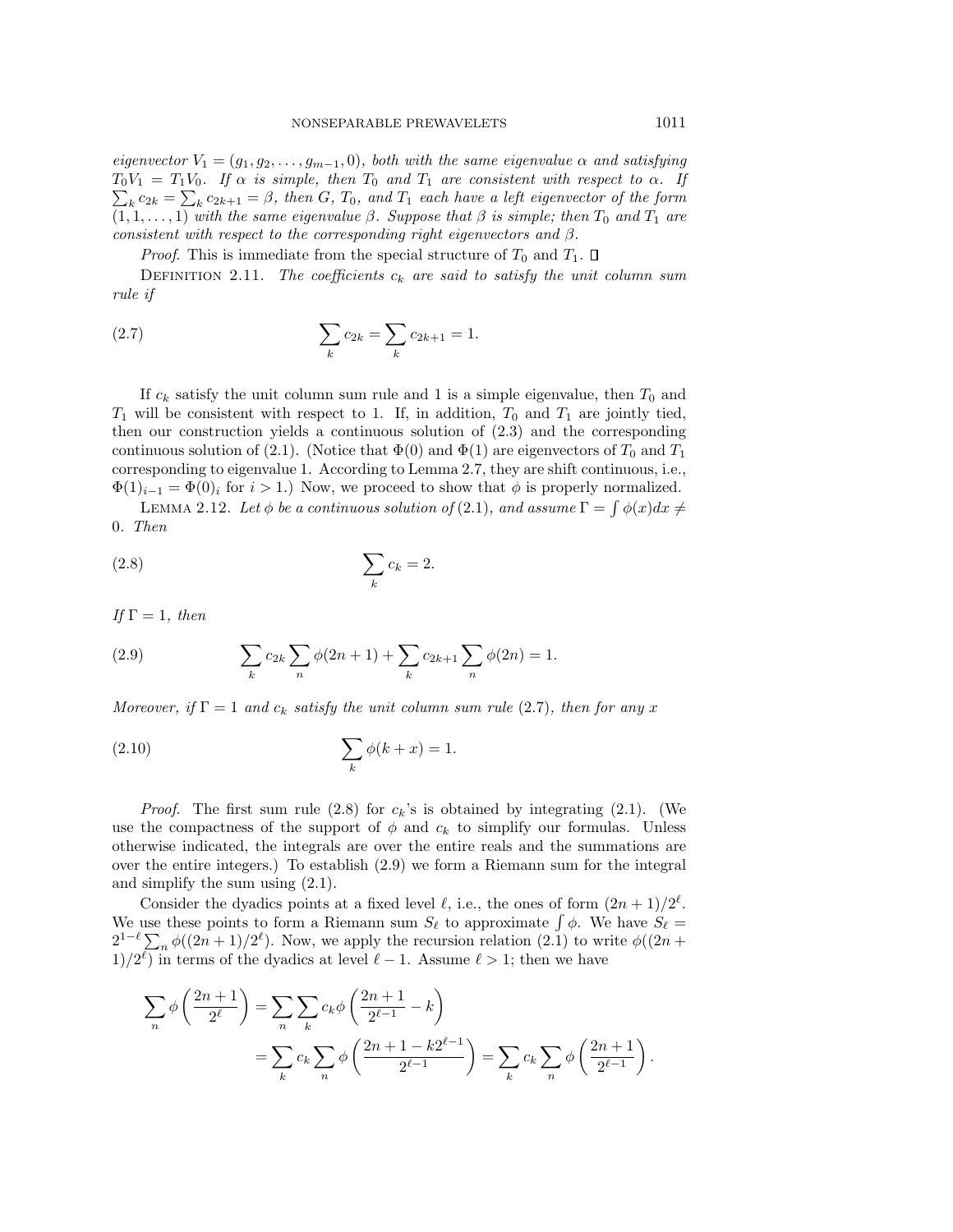eigenvector  $V_1 = (g_1, g_2, \ldots, g_{m-1}, 0)$ , both with the same eigenvalue  $\alpha$  and satisfying  $\sum_{k} c_{2k} = \sum_{k} c_{2k+1} = \beta$ , then G, T<sub>0</sub>, and T<sub>1</sub> each have a left eigenvector of the form  $T_0V_1 = T_1V_0$ . If  $\alpha$  is simple, then  $T_0$  and  $T_1$  are consistent with respect to  $\alpha$ . If  $(1, 1, \ldots, 1)$  with the same eigenvalue  $\beta$ . Suppose that  $\beta$  is simple; then  $T_0$  and  $T_1$  are consistent with respect to the corresponding right eigenvectors and  $\beta$ .

*Proof.* This is immediate from the special structure of  $T_0$  and  $T_1$ .  $\Box$ 

DEFINITION 2.11. The coefficients  $c_k$  are said to satisfy the unit column sum rule if

(2.7) 
$$
\sum_{k} c_{2k} = \sum_{k} c_{2k+1} = 1.
$$

If  $c_k$  satisfy the unit column sum rule and 1 is a simple eigenvalue, then  $T_0$  and  $T_1$  will be consistent with respect to 1. If, in addition,  $T_0$  and  $T_1$  are jointly tied, then our construction yields a continuous solution of (2.3) and the corresponding continuous solution of (2.1). (Notice that  $\Phi(0)$  and  $\Phi(1)$  are eigenvectors of  $T_0$  and  $T_1$ corresponding to eigenvalue 1. According to Lemma 2.7, they are shift continuous, i.e.,  $\Phi(1)_{i-1} = \Phi(0)_i$  for  $i > 1$ .) Now, we proceed to show that  $\phi$  is properly normalized.

LEMMA 2.12. Let  $\phi$  be a continuous solution of (2.1), and assume  $\Gamma = \int \phi(x) dx \neq$ 0. Then

$$
\sum_{k} c_k = 2.
$$

If  $\Gamma=1$ , then

(2.9) 
$$
\sum_{k} c_{2k} \sum_{n} \phi(2n+1) + \sum_{k} c_{2k+1} \sum_{n} \phi(2n) = 1.
$$

Moreover, if  $\Gamma = 1$  and  $c_k$  satisfy the unit column sum rule (2.7), then for any x

$$
\sum_{k} \phi(k+x) = 1.
$$

*Proof.* The first sum rule (2.8) for  $c_k$ 's is obtained by integrating (2.1). (We use the compactness of the support of  $\phi$  and  $c_k$  to simplify our formulas. Unless otherwise indicated, the integrals are over the entire reals and the summations are over the entire integers.) To establish (2.9) we form a Riemann sum for the integral and simplify the sum using (2.1).

Consider the dyadics points at a fixed level  $\ell$ , i.e., the ones of form  $(2n + 1)/2^{\ell}$ . We use these points to form a Riemann sum  $S_{\ell}$  to approximate  $\int \phi$ . We have  $S_{\ell} =$  $2^{1-\ell}\sum_{n} \phi((2n+1)/2^{\ell})$ . Now, we apply the recursion relation (2.1) to write  $\phi((2n+1)/2^{\ell})$ .  $1/2^{\ell}$ ) in terms of the dyadics at level  $\ell - 1$ . Assume  $\ell > 1$ ; then we have

$$
\sum_{n} \phi\left(\frac{2n+1}{2^{\ell}}\right) = \sum_{n} \sum_{k} c_{k} \phi\left(\frac{2n+1}{2^{\ell-1}} - k\right)
$$
  
= 
$$
\sum_{k} c_{k} \sum_{n} \phi\left(\frac{2n+1 - k2^{\ell-1}}{2^{\ell-1}}\right) = \sum_{k} c_{k} \sum_{n} \phi\left(\frac{2n+1}{2^{\ell-1}}\right).
$$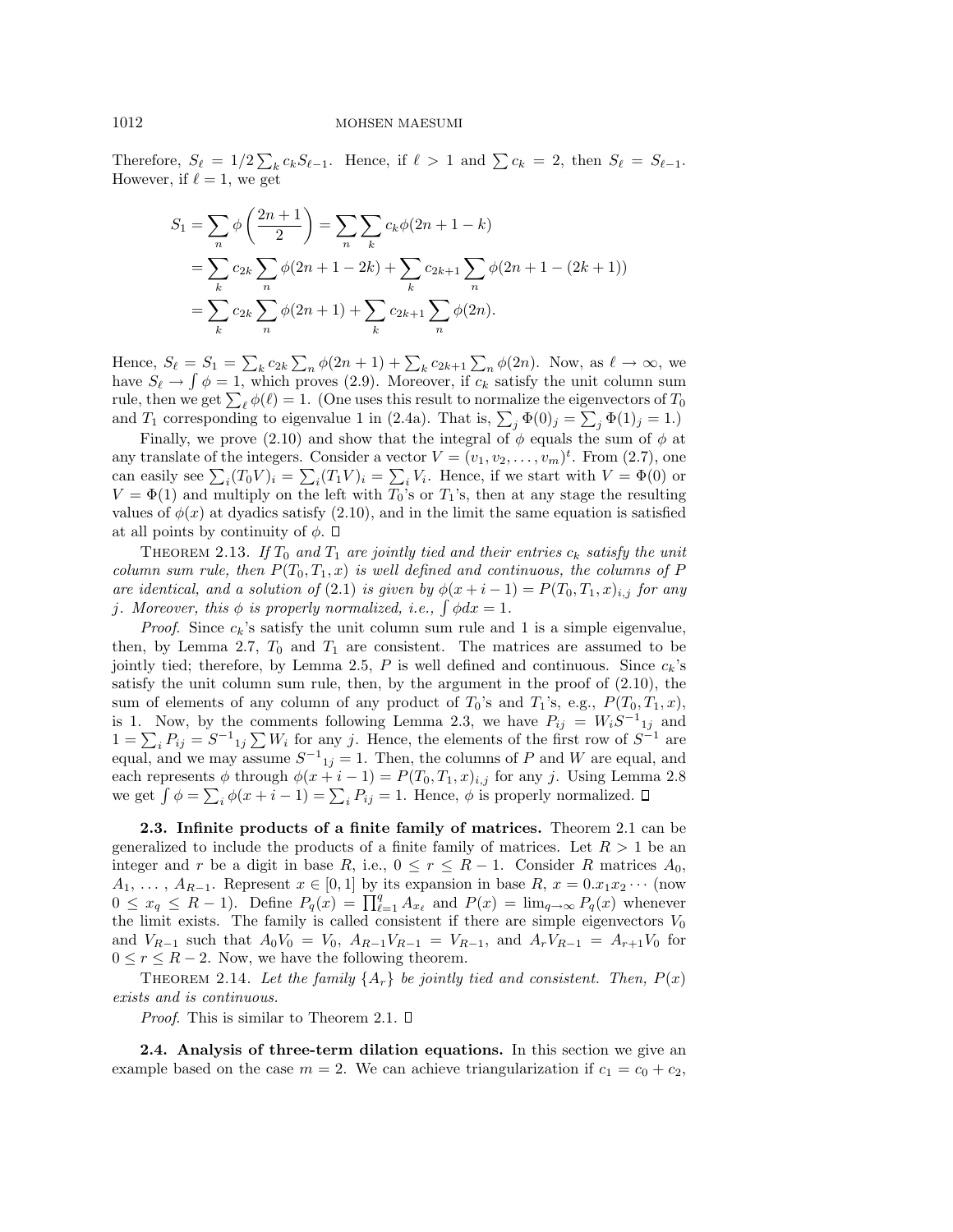Therefore,  $S_{\ell} = 1/2 \sum_{k} c_{k} S_{\ell-1}$ . Hence, if  $\ell > 1$  and  $\sum c_{k} = 2$ , then  $S_{\ell} = S_{\ell-1}$ . However, if  $\ell = 1$ , we get

$$
S_1 = \sum_{n} \phi\left(\frac{2n+1}{2}\right) = \sum_{n} \sum_{k} c_k \phi(2n+1-k)
$$
  
= 
$$
\sum_{k} c_{2k} \sum_{n} \phi(2n+1-2k) + \sum_{k} c_{2k+1} \sum_{n} \phi(2n+1-(2k+1))
$$
  
= 
$$
\sum_{k} c_{2k} \sum_{n} \phi(2n+1) + \sum_{k} c_{2k+1} \sum_{n} \phi(2n).
$$

Hence,  $S_{\ell} = S_1 = \sum_k c_{2k} \sum_n \phi(2n + 1) + \sum_k c_{2k+1} \sum_n \phi(2n)$ . Now, as  $\ell \to \infty$ , we have  $S_\ell \to \int \phi = 1$ , which proves (2.9). Moreover, if  $c_k$  satisfy the unit column sum rule, then we get  $\sum_{\ell} \phi(\ell) = 1$ . (One uses this result to normalize the eigenvectors of  $T_0$ and  $T_1$  corresponding to eigenvalue 1 in (2.4a). That is,  $\sum_j \Phi(0)_j = \sum_j \Phi(1)_j = 1$ .

Finally, we prove (2.10) and show that the integral of  $\phi$  equals the sum of  $\phi$  at any translate of the integers. Consider a vector  $V = (v_1, v_2, \dots, v_m)^t$ . From (2.7), one can easily see  $\sum_i (T_0 V)_i = \sum_i (T_1 V)_i = \sum_i V_i$ . Hence, if we start with  $V = \Phi(0)$  or  $V = \Phi(1)$  and multiply on the left with  $T_0$ 's or  $T_1$ 's, then at any stage the resulting values of  $\phi(x)$  at dyadics satisfy (2.10), and in the limit the same equation is satisfied at all points by continuity of  $\phi$ .  $\Box$ 

THEOREM 2.13. If  $T_0$  and  $T_1$  are jointly tied and their entries  $c_k$  satisfy the unit column sum rule, then  $P(T_0, T_1, x)$  is well defined and continuous, the columns of P are identical, and a solution of (2.1) is given by  $\phi(x+i-1) = P(T_0, T_1, x)_{i,j}$  for any j. Moreover, this  $\phi$  is properly normalized, i.e.,  $\int \phi dx = 1$ .

*Proof.* Since  $c_k$ 's satisfy the unit column sum rule and 1 is a simple eigenvalue, then, by Lemma 2.7,  $T_0$  and  $T_1$  are consistent. The matrices are assumed to be jointly tied; therefore, by Lemma 2.5, P is well defined and continuous. Since  $c_k$ 's satisfy the unit column sum rule, then, by the argument in the proof of  $(2.10)$ , the sum of elements of any column of any product of  $T_0$ 's and  $T_1$ 's, e.g.,  $P(T_0, T_1, x)$ , is 1. Now, by the comments following Lemma 2.3, we have  $P_{ij} = W_i S^{-1}{}_{1j}$  and  $1 = \sum_i P_{ij} = S^{-1}_{ij} \sum_i W_i$  for any j. Hence, the elements of the first row of  $S^{-1}$  are equal, and we may assume  $S^{-1}{}_{1j} = 1$ . Then, the columns of P and W are equal, and each represents φ through  $\phi(x+i-1) = P(T_0, T_1, x)_{i,j}$  for any j. Using Lemma 2.8 we get  $\int \phi = \sum_i \phi(x + i - 1) = \sum_i P_{ij} = 1$ . Hence,  $\phi$  is properly normalized.

**2.3. Infinite products of a finite family of matrices.** Theorem 2.1 can be generalized to include the products of a finite family of matrices. Let  $R > 1$  be an integer and r be a digit in base R, i.e.,  $0 \le r \le R-1$ . Consider R matrices  $A_0$ ,  $A_1, \ldots, A_{R-1}$ . Represent  $x \in [0,1]$  by its expansion in base  $R, x = 0.x_1x_2\cdots$  (now  $0 \le x_q \le R-1$ ). Define  $P_q(x) = \prod_{\ell=1}^q A_{x_\ell}$  and  $P(x) = \lim_{q \to \infty} P_q(x)$  whenever the limit exists. The family is called consistent if there are simple eigenvectors  $V_0$ and  $V_{R-1}$  such that  $A_0V_0 = V_0$ ,  $A_{R-1}V_{R-1} = V_{R-1}$ , and  $A_rV_{R-1} = A_{r+1}V_0$  for  $0 \leq r \leq R-2$ . Now, we have the following theorem.

THEOREM 2.14. Let the family  $\{A_r\}$  be jointly tied and consistent. Then,  $P(x)$ exists and is continuous.

*Proof.* This is similar to Theorem 2.1.  $\square$ 

**2.4. Analysis of three-term dilation equations.** In this section we give an example based on the case  $m = 2$ . We can achieve triangularization if  $c_1 = c_0 + c_2$ ,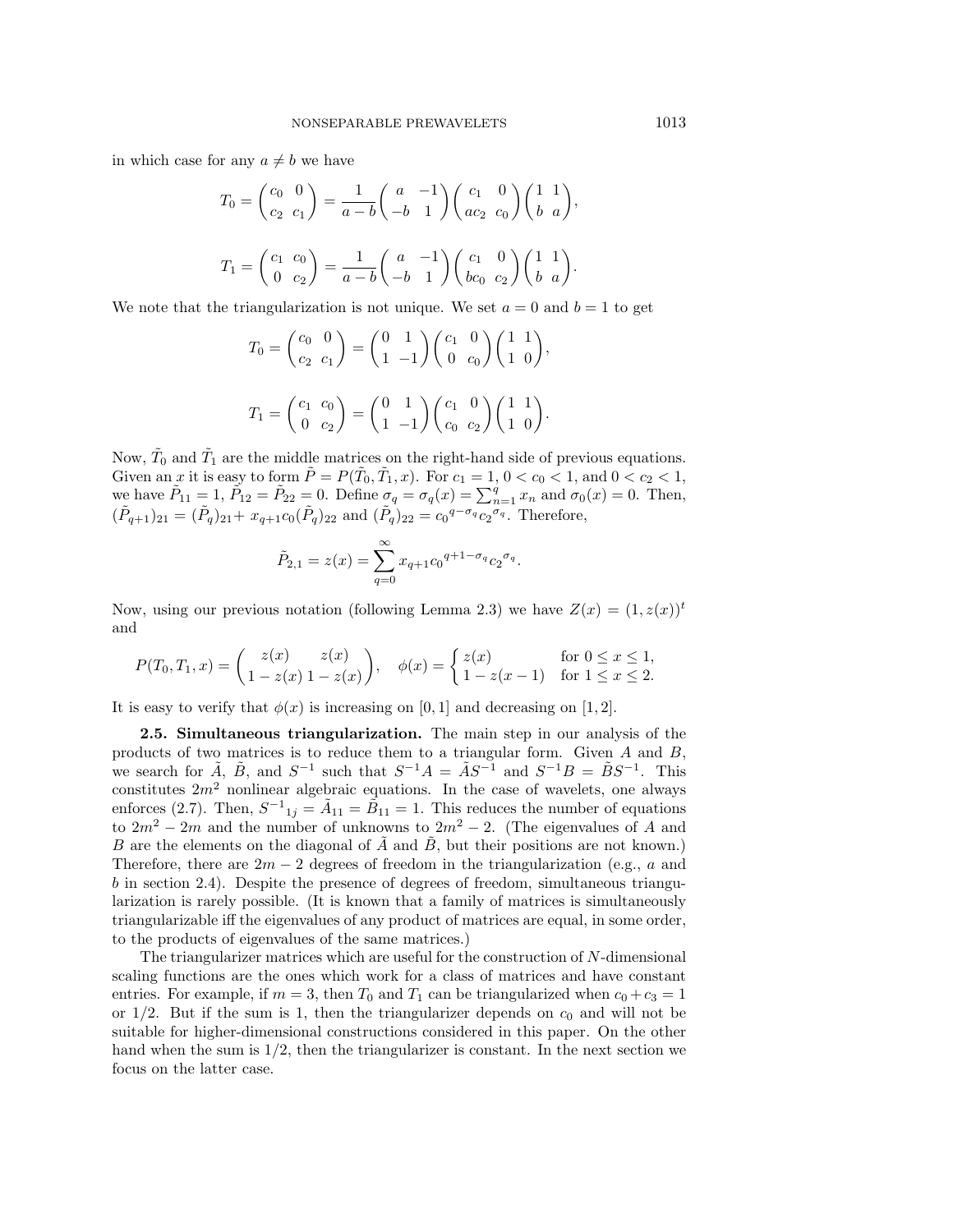in which case for any  $a \neq b$  we have

$$
T_0 = \begin{pmatrix} c_0 & 0 \\ c_2 & c_1 \end{pmatrix} = \frac{1}{a-b} \begin{pmatrix} a & -1 \\ -b & 1 \end{pmatrix} \begin{pmatrix} c_1 & 0 \\ ac_2 & c_0 \end{pmatrix} \begin{pmatrix} 1 & 1 \\ b & a \end{pmatrix},
$$
  

$$
T_1 = \begin{pmatrix} c_1 & c_0 \\ 0 & c_2 \end{pmatrix} = \frac{1}{a-b} \begin{pmatrix} a & -1 \\ -b & 1 \end{pmatrix} \begin{pmatrix} c_1 & 0 \\ bc_0 & c_2 \end{pmatrix} \begin{pmatrix} 1 & 1 \\ b & a \end{pmatrix}.
$$

We note that the triangularization is not unique. We set  $a = 0$  and  $b = 1$  to get

$$
T_0 = \begin{pmatrix} c_0 & 0 \\ c_2 & c_1 \end{pmatrix} = \begin{pmatrix} 0 & 1 \\ 1 & -1 \end{pmatrix} \begin{pmatrix} c_1 & 0 \\ 0 & c_0 \end{pmatrix} \begin{pmatrix} 1 & 1 \\ 1 & 0 \end{pmatrix},
$$
  

$$
T_1 = \begin{pmatrix} c_1 & c_0 \\ 0 & c_2 \end{pmatrix} = \begin{pmatrix} 0 & 1 \\ 1 & -1 \end{pmatrix} \begin{pmatrix} c_1 & 0 \\ c_0 & c_2 \end{pmatrix} \begin{pmatrix} 1 & 1 \\ 1 & 0 \end{pmatrix}.
$$

Now,  $\tilde{T}_0$  and  $\tilde{T}_1$  are the middle matrices on the right-hand side of previous equations. Given an x it is easy to form  $\tilde{P} = P(\tilde{T}_0, \tilde{T}_1, x)$ . For  $c_1 = 1, 0 < c_0 < 1$ , and  $0 < c_2 < 1$ , we have  $\tilde{P}_{11} = 1$ ,  $\tilde{P}_{12} = \tilde{P}_{22} = 0$ . Define  $\sigma_q = \sigma_q(x) = \sum_{n=1}^q x_n$  and  $\sigma_0(x) = 0$ . Then,  $(\tilde{P}_{q+1})_{21} = (\tilde{P}_q)_{21} + x_{q+1}c_0(\tilde{P}_q)_{22}$  and  $(\tilde{P}_q)_{22} = c_0 q^{-\sigma_q} c_2 q^{-\sigma_q}$ . Therefore,

$$
\tilde{P}_{2,1} = z(x) = \sum_{q=0}^{\infty} x_{q+1} c_0^{q+1-\sigma_q} c_2^{\sigma_q}.
$$

Now, using our previous notation (following Lemma 2.3) we have  $Z(x) = (1, z(x))^t$ and

$$
P(T_0, T_1, x) = \begin{pmatrix} z(x) & z(x) \\ 1 - z(x) & 1 - z(x) \end{pmatrix}, \quad \phi(x) = \begin{cases} z(x) & \text{for } 0 \le x \le 1, \\ 1 - z(x - 1) & \text{for } 1 \le x \le 2. \end{cases}
$$

It is easy to verify that  $\phi(x)$  is increasing on [0, 1] and decreasing on [1, 2].

**2.5. Simultaneous triangularization.** The main step in our analysis of the products of two matrices is to reduce them to a triangular form. Given A and B, we search for  $\tilde{A}$ ,  $\tilde{B}$ , and  $S^{-1}$  such that  $S^{-1}A = \tilde{A}S^{-1}$  and  $S^{-1}B = \tilde{B}S^{-1}$ . This constitutes  $2m^2$  nonlinear algebraic equations. In the case of wavelets, one always enforces (2.7). Then,  $S^{-1}_{1j} = \tilde{A}_{11} = \tilde{B}_{11} = 1$ . This reduces the number of equations to  $2m^2 - 2m$  and the number of unknowns to  $2m^2 - 2$ . (The eigenvalues of A and B are the elements on the diagonal of  $\tilde{A}$  and  $\tilde{B}$ , but their positions are not known.) Therefore, there are  $2m - 2$  degrees of freedom in the triangularization (e.g., a and  $b$  in section 2.4). Despite the presence of degrees of freedom, simultaneous triangularization is rarely possible. (It is known that a family of matrices is simultaneously triangularizable iff the eigenvalues of any product of matrices are equal, in some order, to the products of eigenvalues of the same matrices.)

The triangularizer matrices which are useful for the construction of  $N$ -dimensional scaling functions are the ones which work for a class of matrices and have constant entries. For example, if  $m = 3$ , then  $T_0$  and  $T_1$  can be triangularized when  $c_0 + c_3 = 1$ or  $1/2$ . But if the sum is 1, then the triangularizer depends on  $c_0$  and will not be suitable for higher-dimensional constructions considered in this paper. On the other hand when the sum is  $1/2$ , then the triangularizer is constant. In the next section we focus on the latter case.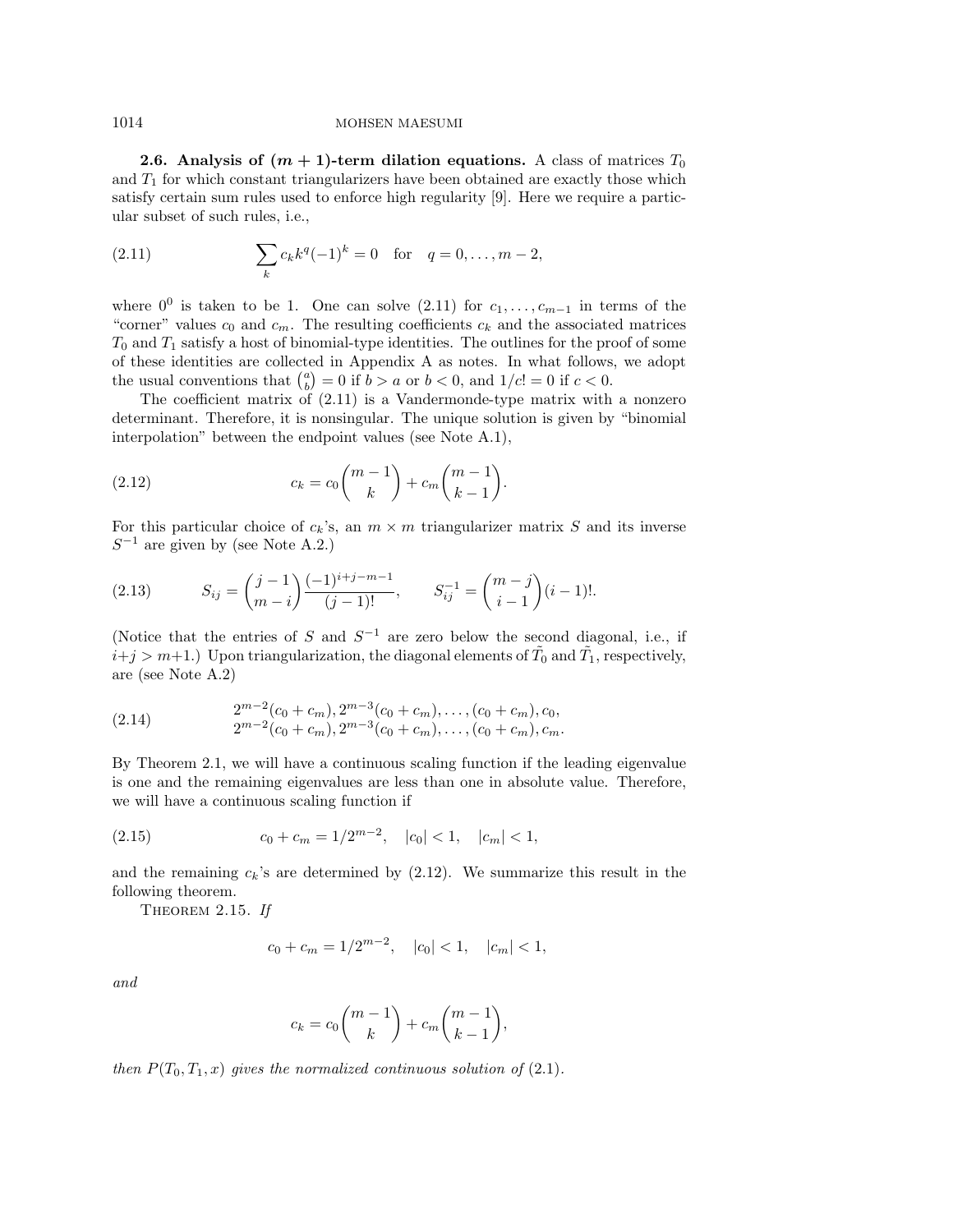**2.6.** Analysis of  $(m + 1)$ -term dilation equations. A class of matrices  $T_0$ and  $T_1$  for which constant triangularizers have been obtained are exactly those which satisfy certain sum rules used to enforce high regularity [9]. Here we require a particular subset of such rules, i.e.,

(2.11) 
$$
\sum_{k} c_{k} k^{q} (-1)^{k} = 0 \text{ for } q = 0, ..., m-2,
$$

where  $0^0$  is taken to be 1. One can solve  $(2.11)$  for  $c_1, \ldots, c_{m-1}$  in terms of the "corner" values  $c_0$  and  $c_m$ . The resulting coefficients  $c_k$  and the associated matrices  $T_0$  and  $T_1$  satisfy a host of binomial-type identities. The outlines for the proof of some of these identities are collected in Appendix A as notes. In what follows, we adopt the usual conventions that  $\binom{a}{b} = 0$  if  $b > a$  or  $b < 0$ , and  $1/c! = 0$  if  $c < 0$ .

The coefficient matrix of (2.11) is a Vandermonde-type matrix with a nonzero determinant. Therefore, it is nonsingular. The unique solution is given by "binomial interpolation" between the endpoint values (see Note A.1),

(2.12) 
$$
c_k = c_0 {m-1 \choose k} + c_m {m-1 \choose k-1}.
$$

For this particular choice of  $c_k$ 's, an  $m \times m$  triangularizer matrix S and its inverse  $S^{-1}$  are given by (see Note A.2.)

(2.13) 
$$
S_{ij} = {j-1 \choose m-i} \frac{(-1)^{i+j-m-1}}{(j-1)!}, \qquad S_{ij}^{-1} = {m-j \choose i-1} (i-1)!
$$

(Notice that the entries of S and  $S^{-1}$  are zero below the second diagonal, i.e., if  $i+j > m+1$ .) Upon triangularization, the diagonal elements of  $\tilde{T}_0$  and  $\tilde{T}_1$ , respectively, are (see Note A.2)

(2.14) 
$$
2^{m-2}(c_0 + c_m), 2^{m-3}(c_0 + c_m), \ldots, (c_0 + c_m), c_0,
$$

$$
2^{m-2}(c_0 + c_m), 2^{m-3}(c_0 + c_m), \ldots, (c_0 + c_m), c_m.
$$

By Theorem 2.1, we will have a continuous scaling function if the leading eigenvalue is one and the remaining eigenvalues are less than one in absolute value. Therefore, we will have a continuous scaling function if

(2.15) 
$$
c_0 + c_m = 1/2^{m-2}, \quad |c_0| < 1, \quad |c_m| < 1,
$$

and the remaining  $c_k$ 's are determined by  $(2.12)$ . We summarize this result in the following theorem.

THEOREM 2.15. If

$$
c_0 + c_m = 1/2^{m-2}, \quad |c_0| < 1, \quad |c_m| < 1,
$$

and

$$
c_k = c_0 {m-1 \choose k} + c_m {m-1 \choose k-1},
$$

then  $P(T_0, T_1, x)$  gives the normalized continuous solution of (2.1).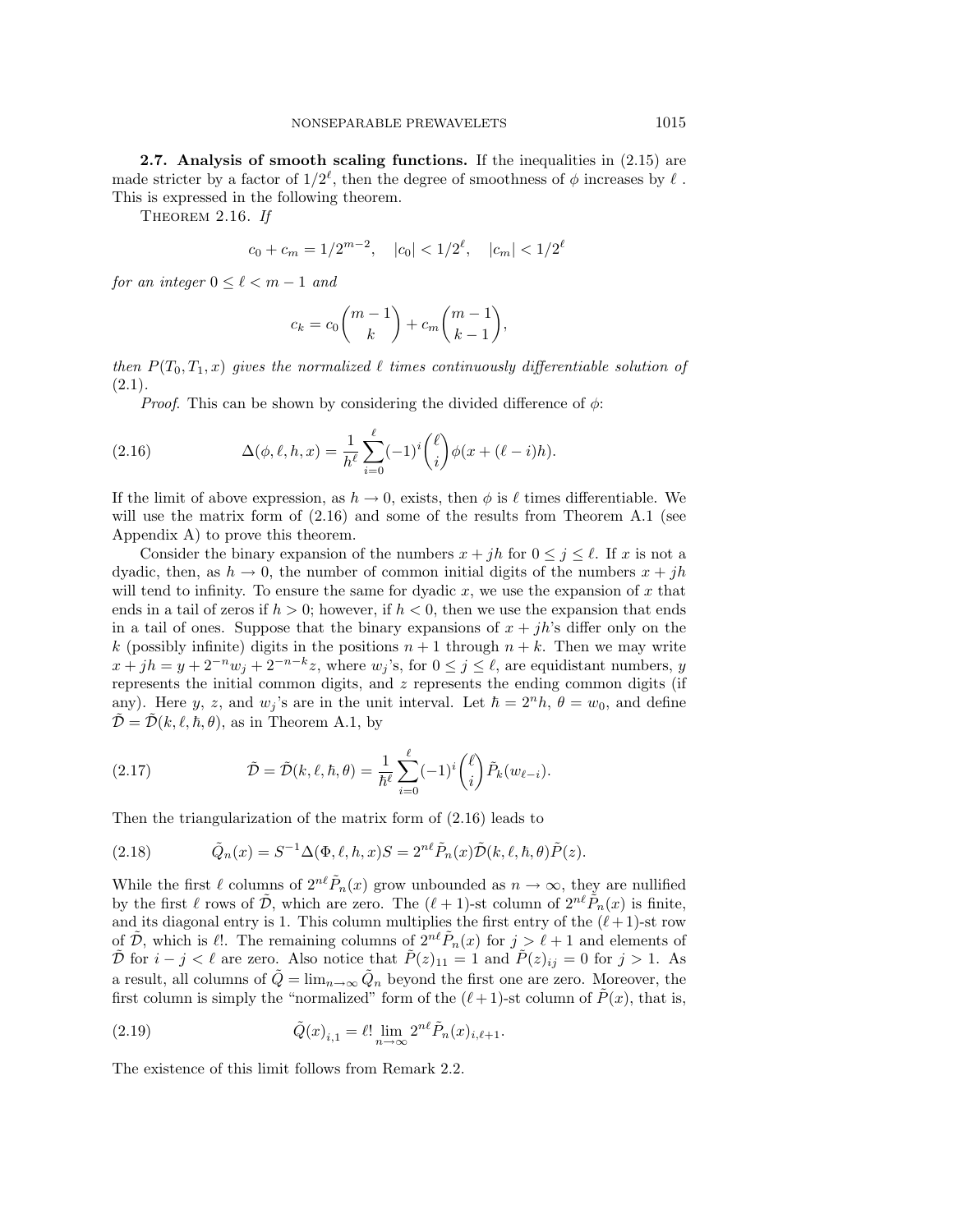**2.7.** Analysis of smooth scaling functions. If the inequalities in  $(2.15)$  are made stricter by a factor of  $1/2^{\ell}$ , then the degree of smoothness of  $\phi$  increases by  $\ell$ . This is expressed in the following theorem.

THEOREM 2.16. If

$$
c_0 + c_m = 1/2^{m-2}, \quad |c_0| < 1/2^{\ell}, \quad |c_m| < 1/2^{\ell}
$$

for an integer  $0 \leq \ell < m - 1$  and

$$
c_k = c_0 {m-1 \choose k} + c_m {m-1 \choose k-1},
$$

then  $P(T_0, T_1, x)$  gives the normalized  $\ell$  times continuously differentiable solution of  $(2.1).$ 

*Proof.* This can be shown by considering the divided difference of  $\phi$ :

(2.16) 
$$
\Delta(\phi, \ell, h, x) = \frac{1}{h^{\ell}} \sum_{i=0}^{\ell} (-1)^{i} {\ell \choose i} \phi(x + (\ell - i)h).
$$

If the limit of above expression, as  $h \to 0$ , exists, then  $\phi$  is  $\ell$  times differentiable. We will use the matrix form of  $(2.16)$  and some of the results from Theorem A.1 (see Appendix A) to prove this theorem.

Consider the binary expansion of the numbers  $x + jh$  for  $0 \le j \le \ell$ . If x is not a dyadic, then, as  $h \to 0$ , the number of common initial digits of the numbers  $x + jh$ will tend to infinity. To ensure the same for dyadic  $x$ , we use the expansion of  $x$  that ends in a tail of zeros if  $h > 0$ ; however, if  $h < 0$ , then we use the expansion that ends in a tail of ones. Suppose that the binary expansions of  $x + jh$ 's differ only on the k (possibly infinite) digits in the positions  $n + 1$  through  $n + k$ . Then we may write  $x + jh = y + 2^{-n}w_j + 2^{-n-k}z$ , where  $w_j$ 's, for  $0 \le j \le \ell$ , are equidistant numbers, y represents the initial common digits, and  $z$  represents the ending common digits (if any). Here y, z, and  $w_i$ 's are in the unit interval. Let  $\hbar = 2<sup>n</sup>h$ ,  $\theta = w_0$ , and define  $\mathcal{D} = \mathcal{D}(k, \ell, \hbar, \theta)$ , as in Theorem A.1, by

(2.17) 
$$
\tilde{\mathcal{D}} = \tilde{\mathcal{D}}(k, \ell, \hbar, \theta) = \frac{1}{\hbar^{\ell}} \sum_{i=0}^{\ell} (-1)^{i} {\ell \choose i} \tilde{P}_{k}(w_{\ell-i}).
$$

Then the triangularization of the matrix form of (2.16) leads to

(2.18) 
$$
\tilde{Q}_n(x) = S^{-1} \Delta(\Phi, \ell, h, x) S = 2^{n\ell} \tilde{P}_n(x) \tilde{D}(k, \ell, h, \theta) \tilde{P}(z).
$$

While the first  $\ell$  columns of  $2^{n\ell} \tilde{P}_n(x)$  grow unbounded as  $n \to \infty$ , they are nullified by the first  $\ell$  rows of  $\tilde{\mathcal{D}}$ , which are zero. The  $(\ell + 1)$ -st column of  $2^{n\ell}\tilde{P}_n(x)$  is finite, and its diagonal entry is 1. This column multiplies the first entry of the  $(\ell + 1)$ -st row of  $\mathcal{D}$ , which is  $\ell$ . The remaining columns of  $2^{n\ell}\tilde{P}_n(x)$  for  $j>\ell+1$  and elements of  $\tilde{\mathcal{D}}$  for  $i - j < \ell$  are zero. Also notice that  $\tilde{P}(z)_{11} = 1$  and  $\tilde{P}(z)_{ij} = 0$  for  $j > 1$ . As a result, all columns of  $\tilde{Q} = \lim_{n \to \infty} \tilde{Q}_n$  beyond the first one are zero. Moreover, the first column is simply the "normalized" form of the  $(\ell + 1)$ -st column of  $P(x)$ , that is,

(2.19) 
$$
\tilde{Q}(x)_{i,1} = \ell! \lim_{n \to \infty} 2^{n\ell} \tilde{P}_n(x)_{i,\ell+1}.
$$

The existence of this limit follows from Remark 2.2.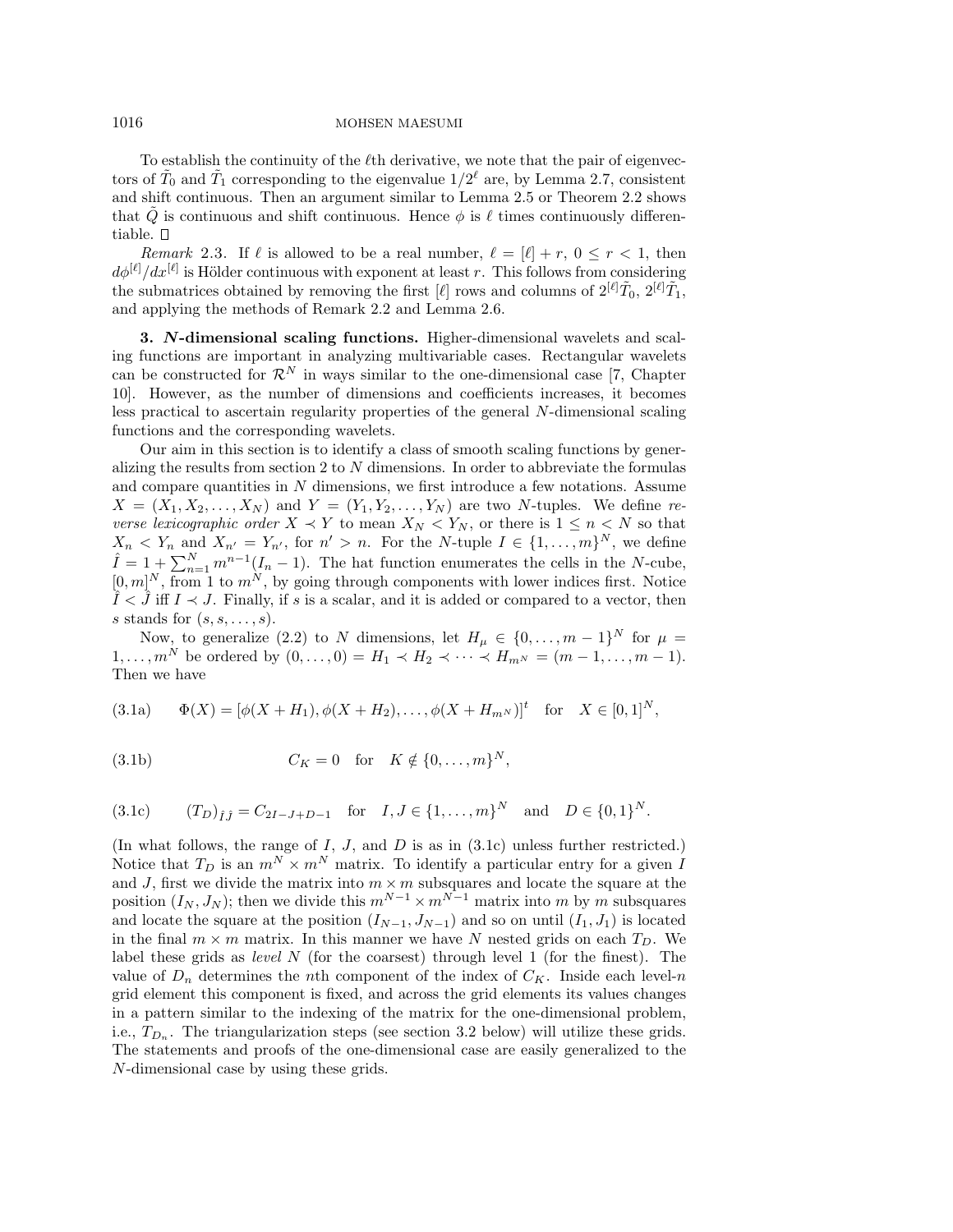To establish the continuity of the  $\ell$ th derivative, we note that the pair of eigenvectors of  $\tilde{T}_0$  and  $\tilde{T}_1$  corresponding to the eigenvalue  $1/2^\ell$  are, by Lemma 2.7, consistent and shift continuous. Then an argument similar to Lemma 2.5 or Theorem 2.2 shows that Q is continuous and shift continuous. Hence  $\phi$  is  $\ell$  times continuously differentiable.

Remark 2.3. If  $\ell$  is allowed to be a real number,  $\ell = [\ell] + r$ ,  $0 \le r < 1$ , then  $d\phi^{[\ell]}/dx^{[\ell]}$  is Hölder continuous with exponent at least r. This follows from considering the submatrices obtained by removing the first  $[\ell]$  rows and columns of  $2^{[\ell]}\tilde{T}_0$ ,  $2^{[\ell]}\tilde{T}_1$ , and applying the methods of Remark 2.2 and Lemma 2.6.

**3.** *N***-dimensional scaling functions.** Higher-dimensional wavelets and scaling functions are important in analyzing multivariable cases. Rectangular wavelets can be constructed for  $\mathcal{R}^N$  in ways similar to the one-dimensional case [7, Chapter 10]. However, as the number of dimensions and coefficients increases, it becomes less practical to ascertain regularity properties of the general N-dimensional scaling functions and the corresponding wavelets.

Our aim in this section is to identify a class of smooth scaling functions by generalizing the results from section 2 to  $N$  dimensions. In order to abbreviate the formulas and compare quantities in N dimensions, we first introduce a few notations. Assume  $X = (X_1, X_2, \ldots, X_N)$  and  $Y = (Y_1, Y_2, \ldots, Y_N)$  are two N-tuples. We define reverse lexicographic order  $X \prec Y$  to mean  $X_N \prec Y_N$ , or there is  $1 \leq n \leq N$  so that  $X_n < Y_n$  and  $X_{n'} = Y_{n'}$ , for  $n' > n$ . For the N-tuple  $I \in \{1, ..., m\}^N$ , we define  $\hat{I} = 1 + \sum_{n=1}^{N} m^{n-1} (I_n - 1)$ . The hat function enumerates the cells in the N-cube,  $[0, m]^N$ , from 1 to  $m^N$ , by going through components with lower indices first. Notice  $I < J$  iff  $I \prec J$ . Finally, if s is a scalar, and it is added or compared to a vector, then s stands for  $(s, s, \ldots, s)$ .

Now, to generalize (2.2) to N dimensions, let  $H_{\mu} \in \{0, ..., m-1\}^N$  for  $\mu =$  $1, \ldots, m^N$  be ordered by  $(0, \ldots, 0) = H_1 \prec H_2 \prec \cdots \prec H_{m^N} = (m-1, \ldots, m-1).$ Then we have

(3.1a) 
$$
\Phi(X) = [\phi(X + H_1), \phi(X + H_2), \dots, \phi(X + H_{m^N})]^t \text{ for } X \in [0, 1]^N,
$$

(3.1b) 
$$
C_K = 0
$$
 for  $K \notin \{0, ..., m\}^N$ ,

$$
(3.1c) \t(T_D)_{\hat{I}\hat{J}} = C_{2I-J+D-1} \tfor I, J \in \{1, ..., m\}^N \tand D \in \{0, 1\}^N.
$$

(In what follows, the range of  $I, J$ , and  $D$  is as in  $(3.1c)$  unless further restricted.) Notice that  $T_D$  is an  $m^N \times m^N$  matrix. To identify a particular entry for a given I and J, first we divide the matrix into  $m \times m$  subsquares and locate the square at the position  $(I_N, J_N)$ ; then we divide this  $m^{N-1} \times m^{N-1}$  matrix into m by m subsquares and locate the square at the position  $(I_{N-1}, J_{N-1})$  and so on until  $(I_1, J_1)$  is located in the final  $m \times m$  matrix. In this manner we have N nested grids on each  $T_D$ . We label these grids as *level*  $N$  (for the coarsest) through level 1 (for the finest). The value of  $D_n$  determines the nth component of the index of  $C_K$ . Inside each level-n grid element this component is fixed, and across the grid elements its values changes in a pattern similar to the indexing of the matrix for the one-dimensional problem, i.e.,  $T_{D_n}$ . The triangularization steps (see section 3.2 below) will utilize these grids. The statements and proofs of the one-dimensional case are easily generalized to the N-dimensional case by using these grids.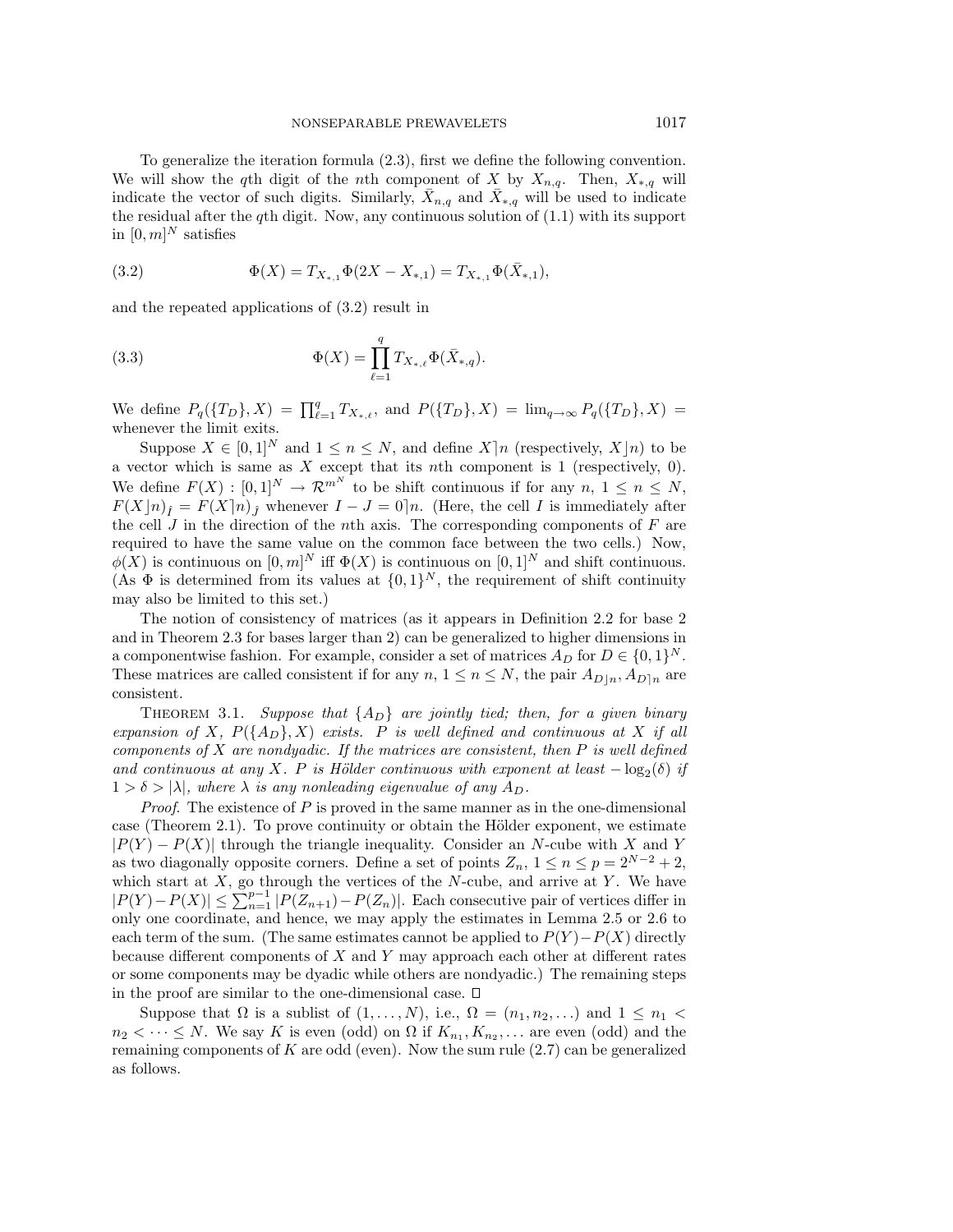To generalize the iteration formula (2.3), first we define the following convention. We will show the qth digit of the nth component of X by  $X_{n,q}$ . Then,  $X_{*,q}$  will indicate the vector of such digits. Similarly,  $\bar{X}_{n,q}$  and  $\bar{X}_{*,q}$  will be used to indicate the residual after the qth digit. Now, any continuous solution of  $(1.1)$  with its support in  $[0, m]^N$  satisfies

(3.2) 
$$
\Phi(X) = T_{X_{*,1}} \Phi(2X - X_{*,1}) = T_{X_{*,1}} \Phi(\bar{X}_{*,1}),
$$

and the repeated applications of (3.2) result in

(3.3) 
$$
\Phi(X) = \prod_{\ell=1}^{q} T_{X_{*,\ell}} \Phi(\bar{X}_{*,q}).
$$

We define  $P_q(\{T_D\}, X) = \prod_{\ell=1}^q T_{X_{*,\ell}}$ , and  $P(\{T_D\}, X) = \lim_{q \to \infty} P_q(\{T_D\}, X) =$ whenever the limit exits.

Suppose  $X \in [0,1]^N$  and  $1 \leq n \leq N$ , and define  $X \mid n$  (respectively,  $X \mid n$ ) to be a vector which is same as  $X$  except that its nth component is 1 (respectively, 0). We define  $F(X): [0,1]^N \to \mathcal{R}^{m^N}$  to be shift continuous if for any  $n, 1 \leq n \leq N$ ,  $F(X|n)$ <sub>*I*</sub> =  $F(X|n)$ <sub>*J*</sub> whenever  $I - J = 0|n$ . (Here, the cell *I* is immediately after the cell  $J$  in the direction of the nth axis. The corresponding components of  $F$  are required to have the same value on the common face between the two cells.) Now,  $\phi(X)$  is continuous on  $[0, m]^N$  iff  $\Phi(X)$  is continuous on  $[0, 1]^N$  and shift continuous. (As  $\Phi$  is determined from its values at  $\{0,1\}^N$ , the requirement of shift continuity may also be limited to this set.)

The notion of consistency of matrices (as it appears in Definition 2.2 for base 2 and in Theorem 2.3 for bases larger than 2) can be generalized to higher dimensions in a componentwise fashion. For example, consider a set of matrices  $A_D$  for  $D \in \{0,1\}^N$ . These matrices are called consistent if for any  $n, 1 \leq n \leq N$ , the pair  $A_{D|n}, A_{D|n}$  are consistent.

THEOREM 3.1. Suppose that  $\{A_D\}$  are jointly tied; then, for a given binary expansion of X,  $P({A_D}, X)$  exists. P is well defined and continuous at X if all components of  $X$  are nondyadic. If the matrices are consistent, then  $P$  is well defined and continuous at any X. P is Hölder continuous with exponent at least  $-\log_2(\delta)$  if  $1 > \delta > |\lambda|$ , where  $\lambda$  is any nonleading eigenvalue of any  $A_D$ .

*Proof.* The existence of  $P$  is proved in the same manner as in the one-dimensional case (Theorem 2.1). To prove continuity or obtain the Hölder exponent, we estimate  $|P(Y) - P(X)|$  through the triangle inequality. Consider an N-cube with X and Y as two diagonally opposite corners. Define a set of points  $Z_n$ ,  $1 \le n \le p = 2^{N-2} + 2$ , which start at  $X$ , go through the vertices of the  $N$ -cube, and arrive at  $Y$ . We have  $|P(Y) - P(X)| \leq \sum_{n=1}^{p-1} |P(Z_{n+1}) - P(Z_n)|$ . Each consecutive pair of vertices differ in only one coordinate, and hence, we may apply the estimates in Lemma 2.5 or 2.6 to each term of the sum. (The same estimates cannot be applied to  $P(Y) - P(X)$  directly because different components of  $X$  and  $Y$  may approach each other at different rates or some components may be dyadic while others are nondyadic.) The remaining steps in the proof are similar to the one-dimensional case.  $\square$ 

Suppose that  $\Omega$  is a sublist of  $(1,\ldots,N)$ , i.e.,  $\Omega = (n_1, n_2, \ldots)$  and  $1 \leq n_1$  $n_2 < \cdots \le N$ . We say K is even (odd) on  $\Omega$  if  $K_{n_1}, K_{n_2}, \ldots$  are even (odd) and the remaining components of  $K$  are odd (even). Now the sum rule  $(2.7)$  can be generalized as follows.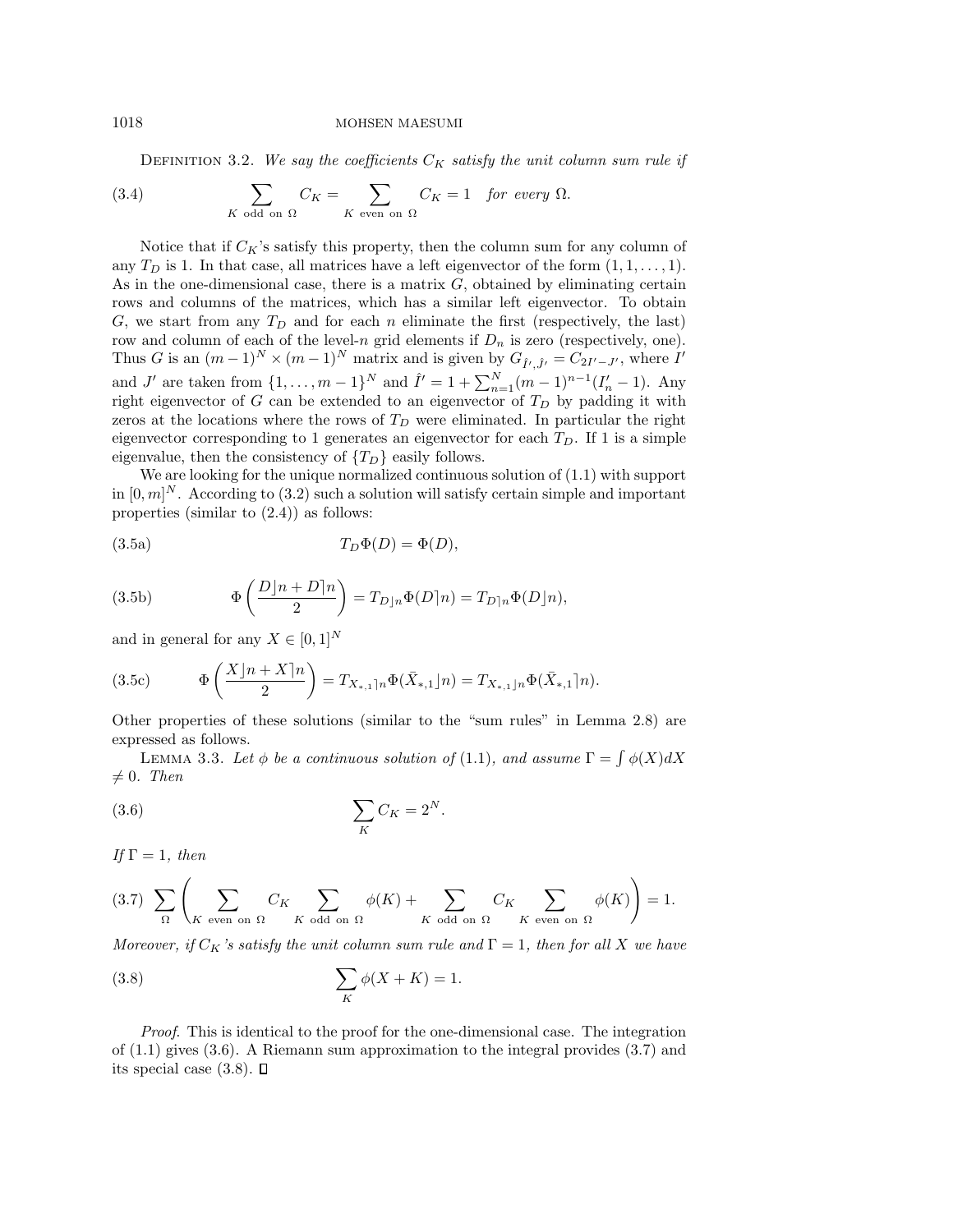DEFINITION 3.2. We say the coefficients  $C_K$  satisfy the unit column sum rule if

(3.4) 
$$
\sum_{K \text{ odd on } \Omega} C_K = \sum_{K \text{ even on } \Omega} C_K = 1 \text{ for every } \Omega.
$$

Notice that if  $C_K$ 's satisfy this property, then the column sum for any column of any  $T_D$  is 1. In that case, all matrices have a left eigenvector of the form  $(1, 1, \ldots, 1)$ . As in the one-dimensional case, there is a matrix  $G$ , obtained by eliminating certain rows and columns of the matrices, which has a similar left eigenvector. To obtain G, we start from any  $T_D$  and for each n eliminate the first (respectively, the last) row and column of each of the level-n grid elements if  $D_n$  is zero (respectively, one). Thus G is an  $(m-1)^N \times (m-1)^N$  matrix and is given by  $G_{\hat{I}',\hat{J}'} = C_{2I'-J'}$ , where I' and J' are taken from  $\{1,\ldots,m-1\}^N$  and  $\hat{I}'=1+\sum_{n=1}^N(m-1)^{n-1}(I'_n-1)$ . Any right eigenvector of G can be extended to an eigenvector of  $T_D$  by padding it with zeros at the locations where the rows of  $T<sub>D</sub>$  were eliminated. In particular the right eigenvector corresponding to 1 generates an eigenvector for each  $T<sub>D</sub>$ . If 1 is a simple eigenvalue, then the consistency of  $\{T_D\}$  easily follows.

We are looking for the unique normalized continuous solution of (1.1) with support in  $[0, m]^N$ . According to (3.2) such a solution will satisfy certain simple and important properties (similar to (2.4)) as follows:

(3.5a) 
$$
T_D \Phi(D) = \Phi(D),
$$

(3.5b) 
$$
\Phi\left(\frac{D\rfloor n+D\rfloor n}{2}\right) = T_{D\rfloor n}\Phi(D\rfloor n) = T_{D\rfloor n}\Phi(D\rfloor n),
$$

and in general for any  $X \in [0, 1]^N$ 

(3.5c) 
$$
\Phi\left(\frac{X|n+X|n}{2}\right) = T_{X_{*,1}|n}\Phi(\bar{X}_{*,1}|n) = T_{X_{*,1}|n}\Phi(\bar{X}_{*,1}|n).
$$

Other properties of these solutions (similar to the "sum rules" in Lemma 2.8) are expressed as follows.

LEMMA 3.3. Let  $\phi$  be a continuous solution of (1.1), and assume  $\Gamma = \int \phi(X) dX$  $\neq 0$ . Then

$$
\sum_{K} C_K = 2^N.
$$

If  $\Gamma=1$ , then

$$
(3.7) \sum_{\Omega} \left( \sum_{K \text{ even on } \Omega} C_K \sum_{K \text{ odd on } \Omega} \phi(K) + \sum_{K \text{ odd on } \Omega} C_K \sum_{K \text{ even on } \Omega} \phi(K) \right) = 1.
$$

Moreover, if  $C_K$ 's satisfy the unit column sum rule and  $\Gamma = 1$ , then for all X we have

$$
\sum_{K} \phi(X+K) = 1.
$$

Proof. This is identical to the proof for the one-dimensional case. The integration of (1.1) gives (3.6). A Riemann sum approximation to the integral provides (3.7) and its special case  $(3.8)$ .  $\square$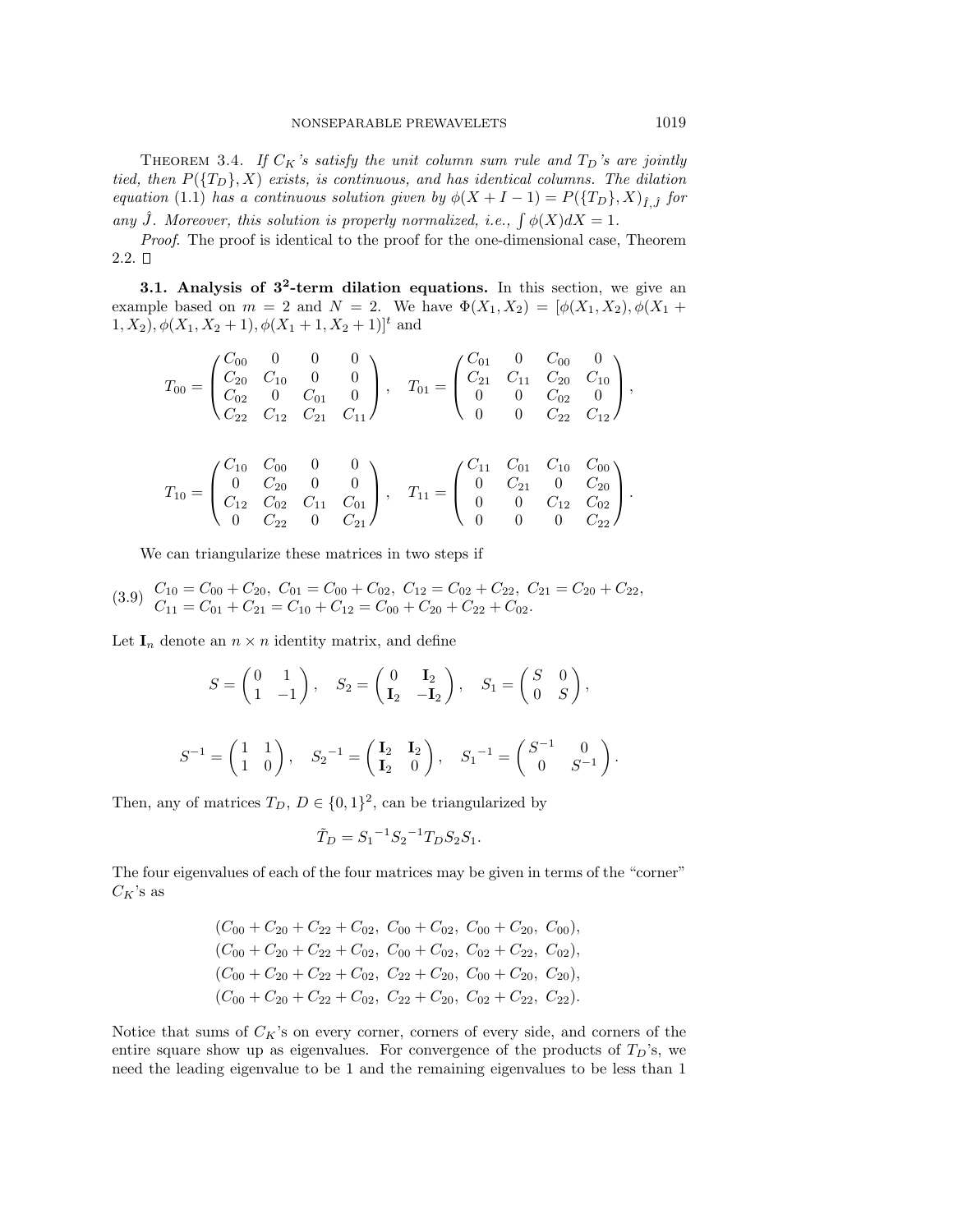THEOREM 3.4. If  $C_K$ 's satisfy the unit column sum rule and  $T_D$ 's are jointly tied, then  $P({T_D}, X)$  exists, is continuous, and has identical columns. The dilation equation (1.1) has a continuous solution given by  $\phi(X + I - 1) = P(\lbrace T_D \rbrace, X)_{\hat{I}, \hat{I}}$  for any  $\hat{J}$ . Moreover, this solution is properly normalized, i.e.,  $\int \phi(X) dX = 1$ .

Proof. The proof is identical to the proof for the one-dimensional case, Theorem  $2.2. \Box$ 

**3.1. Analysis of 3<sup>2</sup>-term dilation equations.** In this section, we give an example based on  $m = 2$  and  $N = 2$ . We have  $\Phi(X_1, X_2) = [\phi(X_1, X_2), \phi(X_1 +$  $(1, X_2), \phi(X_1, X_2 + 1), \phi(X_1 + 1, X_2 + 1)]^t$  and

$$
T_{00} = \begin{pmatrix} C_{00} & 0 & 0 & 0 \\ C_{20} & C_{10} & 0 & 0 \\ C_{02} & 0 & C_{01} & 0 \\ C_{22} & C_{12} & C_{21} & C_{11} \end{pmatrix}, \quad T_{01} = \begin{pmatrix} C_{01} & 0 & C_{00} & 0 \\ C_{21} & C_{11} & C_{20} & C_{10} \\ 0 & 0 & C_{02} & 0 \\ 0 & 0 & C_{22} & C_{12} \end{pmatrix},
$$

$$
T_{10} = \begin{pmatrix} C_{10} & C_{00} & 0 & 0 \\ 0 & C_{20} & 0 & 0 \\ C_{12} & C_{02} & C_{11} & C_{01} \\ 0 & C_{22} & 0 & C_{21} \end{pmatrix}, \quad T_{11} = \begin{pmatrix} C_{11} & C_{01} & C_{10} & C_{00} \\ 0 & C_{21} & 0 & C_{20} \\ 0 & 0 & C_{12} & C_{02} \\ 0 & 0 & 0 & C_{22} \end{pmatrix}.
$$

We can triangularize these matrices in two steps if

$$
(3.9) \quad\n\begin{aligned}\nC_{10} &= C_{00} + C_{20}, \ C_{01} = C_{00} + C_{02}, \ C_{12} = C_{02} + C_{22}, \ C_{21} = C_{20} + C_{22}, \\
C_{11} &= C_{01} + C_{21} = C_{10} + C_{12} = C_{00} + C_{20} + C_{22} + C_{02}.\n\end{aligned}
$$

Let  $I_n$  denote an  $n \times n$  identity matrix, and define

$$
S = \begin{pmatrix} 0 & 1 \\ 1 & -1 \end{pmatrix}, \quad S_2 = \begin{pmatrix} 0 & \mathbf{I}_2 \\ \mathbf{I}_2 & -\mathbf{I}_2 \end{pmatrix}, \quad S_1 = \begin{pmatrix} S & 0 \\ 0 & S \end{pmatrix},
$$

$$
S^{-1} = \begin{pmatrix} 1 & 1 \\ 1 & 0 \end{pmatrix}, \quad S_2^{-1} = \begin{pmatrix} \mathbf{I}_2 & \mathbf{I}_2 \\ \mathbf{I}_2 & 0 \end{pmatrix}, \quad S_1^{-1} = \begin{pmatrix} S^{-1} & 0 \\ 0 & S^{-1} \end{pmatrix}.
$$

Then, any of matrices  $T_D$ ,  $D \in \{0,1\}^2$ , can be triangularized by

$$
\tilde{T}_D = S_1^{-1} S_2^{-1} T_D S_2 S_1.
$$

The four eigenvalues of each of the four matrices may be given in terms of the "corner"  $C_K$ 's as

$$
(C_{00} + C_{20} + C_{22} + C_{02}, C_{00} + C_{02}, C_{00} + C_{20}, C_{00}),(C_{00} + C_{20} + C_{22} + C_{02}, C_{00} + C_{02}, C_{02} + C_{22}, C_{02}),(C_{00} + C_{20} + C_{22} + C_{02}, C_{22} + C_{20}, C_{00} + C_{20}, C_{20}),(C_{00} + C_{20} + C_{22} + C_{02}, C_{22} + C_{20}, C_{02} + C_{22}, C_{22}).
$$

Notice that sums of  $C_K$ 's on every corner, corners of every side, and corners of the entire square show up as eigenvalues. For convergence of the products of  $T_D$ 's, we need the leading eigenvalue to be 1 and the remaining eigenvalues to be less than 1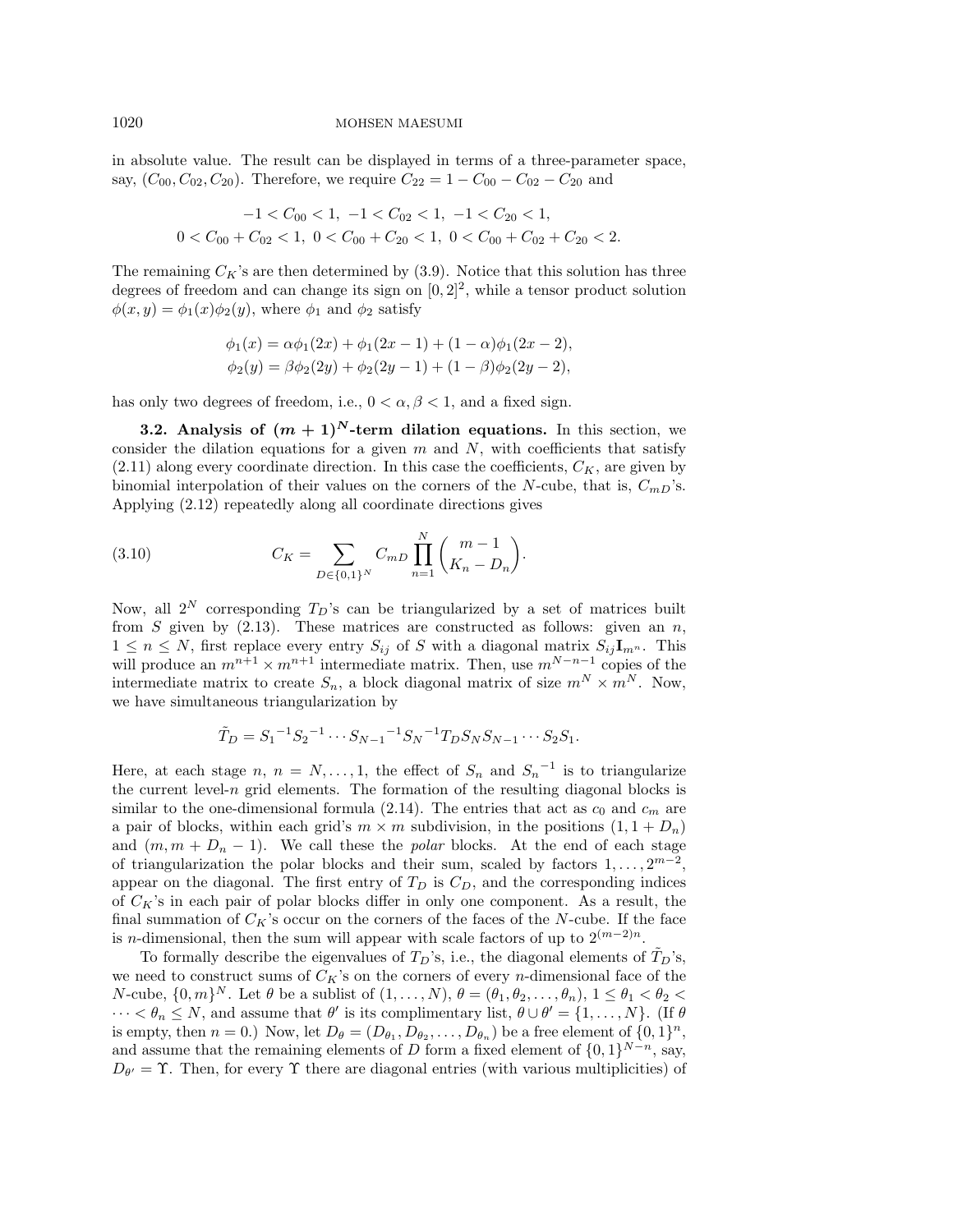in absolute value. The result can be displayed in terms of a three-parameter space, say,  $(C_{00}, C_{02}, C_{20})$ . Therefore, we require  $C_{22} = 1 - C_{00} - C_{02} - C_{20}$  and

$$
-1 < C_{00} < 1, \ -1 < C_{02} < 1, \ -1 < C_{20} < 1, \ 0 < C_{00} + C_{02} < 1, \ 0 < C_{00} + C_{20} < 1, \ 0 < C_{00} + C_{02} + C_{20} < 2.
$$

The remaining  $C_K$ 's are then determined by (3.9). Notice that this solution has three degrees of freedom and can change its sign on  $[0, 2]^2$ , while a tensor product solution  $\phi(x,y) = \phi_1(x)\phi_2(y)$ , where  $\phi_1$  and  $\phi_2$  satisfy

$$
\phi_1(x) = \alpha \phi_1(2x) + \phi_1(2x - 1) + (1 - \alpha)\phi_1(2x - 2),
$$
  
\n
$$
\phi_2(y) = \beta \phi_2(2y) + \phi_2(2y - 1) + (1 - \beta)\phi_2(2y - 2),
$$

has only two degrees of freedom, i.e.,  $0 < \alpha, \beta < 1$ , and a fixed sign.

**3.2.** Analysis of  $(m + 1)^N$  term dilation equations. In this section, we consider the dilation equations for a given  $m$  and  $N$ , with coefficients that satisfy  $(2.11)$  along every coordinate direction. In this case the coefficients,  $C_K$ , are given by binomial interpolation of their values on the corners of the N-cube, that is,  $C_{mD}$ 's. Applying (2.12) repeatedly along all coordinate directions gives

(3.10) 
$$
C_K = \sum_{D \in \{0,1\}^N} C_{mD} \prod_{n=1}^N {m-1 \choose K_n - D_n}.
$$

Now, all  $2^N$  corresponding  $T_D$ 's can be triangularized by a set of matrices built from S given by  $(2.13)$ . These matrices are constructed as follows: given an n,  $1 \leq n \leq N$ , first replace every entry  $S_{ij}$  of S with a diagonal matrix  $S_{ij} \mathbf{I}_{m^n}$ . This will produce an  $m^{n+1} \times m^{n+1}$  intermediate matrix. Then, use  $m^{N-n-1}$  copies of the intermediate matrix to create  $S_n$ , a block diagonal matrix of size  $m^N \times m^N$ . Now, we have simultaneous triangularization by

$$
\tilde{T}_D = S_1^{-1} S_2^{-1} \cdots S_{N-1}^{-1} S_N^{-1} T_D S_N S_{N-1} \cdots S_2 S_1.
$$

Here, at each stage  $n, n = N, \ldots, 1$ , the effect of  $S_n$  and  $S_n^{-1}$  is to triangularize the current level- $n$  grid elements. The formation of the resulting diagonal blocks is similar to the one-dimensional formula (2.14). The entries that act as  $c_0$  and  $c_m$  are a pair of blocks, within each grid's  $m \times m$  subdivision, in the positions  $(1, 1 + D_n)$ and  $(m, m + D_n - 1)$ . We call these the *polar* blocks. At the end of each stage of triangularization the polar blocks and their sum, scaled by factors  $1, \ldots, 2^{m-2}$ , appear on the diagonal. The first entry of  $T_D$  is  $C_D$ , and the corresponding indices of  $C_K$ 's in each pair of polar blocks differ in only one component. As a result, the final summation of  $C_K$ 's occur on the corners of the faces of the N-cube. If the face is n-dimensional, then the sum will appear with scale factors of up to  $2^{(m-2)n}$ .

To formally describe the eigenvalues of  $T_D$ 's, i.e., the diagonal elements of  $\tilde{T}_D$ 's, we need to construct sums of  $C_K$ 's on the corners of every *n*-dimensional face of the N-cube,  $\{0,m\}^N$ . Let  $\theta$  be a sublist of  $(1,\ldots,N)$ ,  $\theta = (\theta_1, \theta_2, \ldots, \theta_n)$ ,  $1 \leq \theta_1 < \theta_2$  $\cdots < \theta_n \leq N$ , and assume that  $\theta'$  is its complimentary list,  $\theta \cup \theta' = \{1, \ldots, N\}$ . (If  $\theta$ is empty, then  $n = 0$ .) Now, let  $D_{\theta} = (D_{\theta_1}, D_{\theta_2}, \ldots, D_{\theta_n})$  be a free element of  $\{0, 1\}^n$ , and assume that the remaining elements of D form a fixed element of  $\{0,1\}^{N-n}$ , say,  $D_{\theta'} = \Upsilon$ . Then, for every  $\Upsilon$  there are diagonal entries (with various multiplicities) of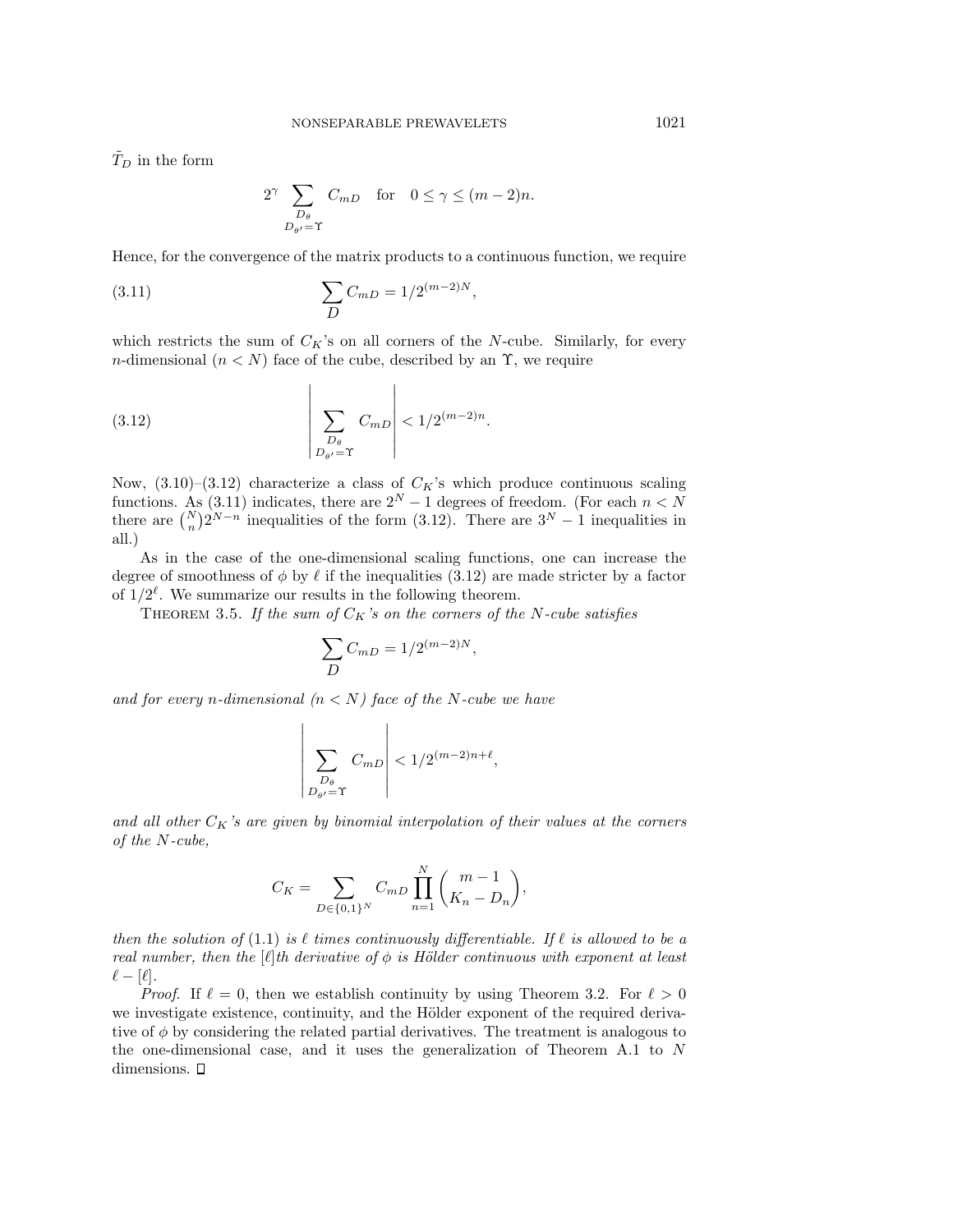$\tilde{T}_D$  in the form

$$
2^{\gamma} \sum_{\substack{D_{\theta} \\ D_{\theta'} = \Upsilon}} C_{mD} \quad \text{for} \quad 0 \le \gamma \le (m-2)n.
$$

Hence, for the convergence of the matrix products to a continuous function, we require

(3.11) 
$$
\sum_{D} C_{mD} = 1/2^{(m-2)N},
$$

which restricts the sum of  $C_K$ 's on all corners of the N-cube. Similarly, for every n-dimensional  $(n < N)$  face of the cube, described by an  $\Upsilon$ , we require

 $\overline{1}$ 

$$
(3.12)\qquad \qquad \left|\sum_{\substack{D_{\theta} \\ D_{\theta'} = \Upsilon}} C_{mD}\right| < \frac{1}{2}^{(m-2)n}.
$$

 $\overline{1}$ 

Now,  $(3.10)$ – $(3.12)$  characterize a class of  $C_K$ 's which produce continuous scaling functions. As (3.11) indicates, there are  $2^N - 1$  degrees of freedom. (For each  $n < N$ there are  $\binom{N}{n} 2^{N-n}$  inequalities of the form (3.12). There are  $3^N - 1$  inequalities in all.)

As in the case of the one-dimensional scaling functions, one can increase the degree of smoothness of  $\phi$  by  $\ell$  if the inequalities (3.12) are made stricter by a factor of  $1/2^{\ell}$ . We summarize our results in the following theorem.

THEOREM 3.5. If the sum of  $C_K$ 's on the corners of the N-cube satisfies

$$
\sum_{D} C_{mD} = 1/2^{(m-2)N},
$$

and for every n-dimensional  $(n < N)$  face of the N-cube we have

$$
\left|\sum_{\substack{D_{\theta}\\D_{\theta'}= \Upsilon}} C_{mD}\right| < 1/2^{(m-2)n+\ell},
$$

and all other  $C_K$ 's are given by binomial interpolation of their values at the corners of the N-cube,

$$
C_K=\sum_{D\in\{0,1\}^N}C_{mD}\prod_{n=1}^N\binom{m-1}{K_n-D_n},
$$

then the solution of (1.1) is  $\ell$  times continuously differentiable. If  $\ell$  is allowed to be a real number, then the [ $\ell$ ]th derivative of  $\phi$  is Hölder continuous with exponent at least  $\ell - [\ell].$ 

*Proof.* If  $\ell = 0$ , then we establish continuity by using Theorem 3.2. For  $\ell > 0$ we investigate existence, continuity, and the Hölder exponent of the required derivative of  $\phi$  by considering the related partial derivatives. The treatment is analogous to the one-dimensional case, and it uses the generalization of Theorem A.1 to N dimensions.  $\square$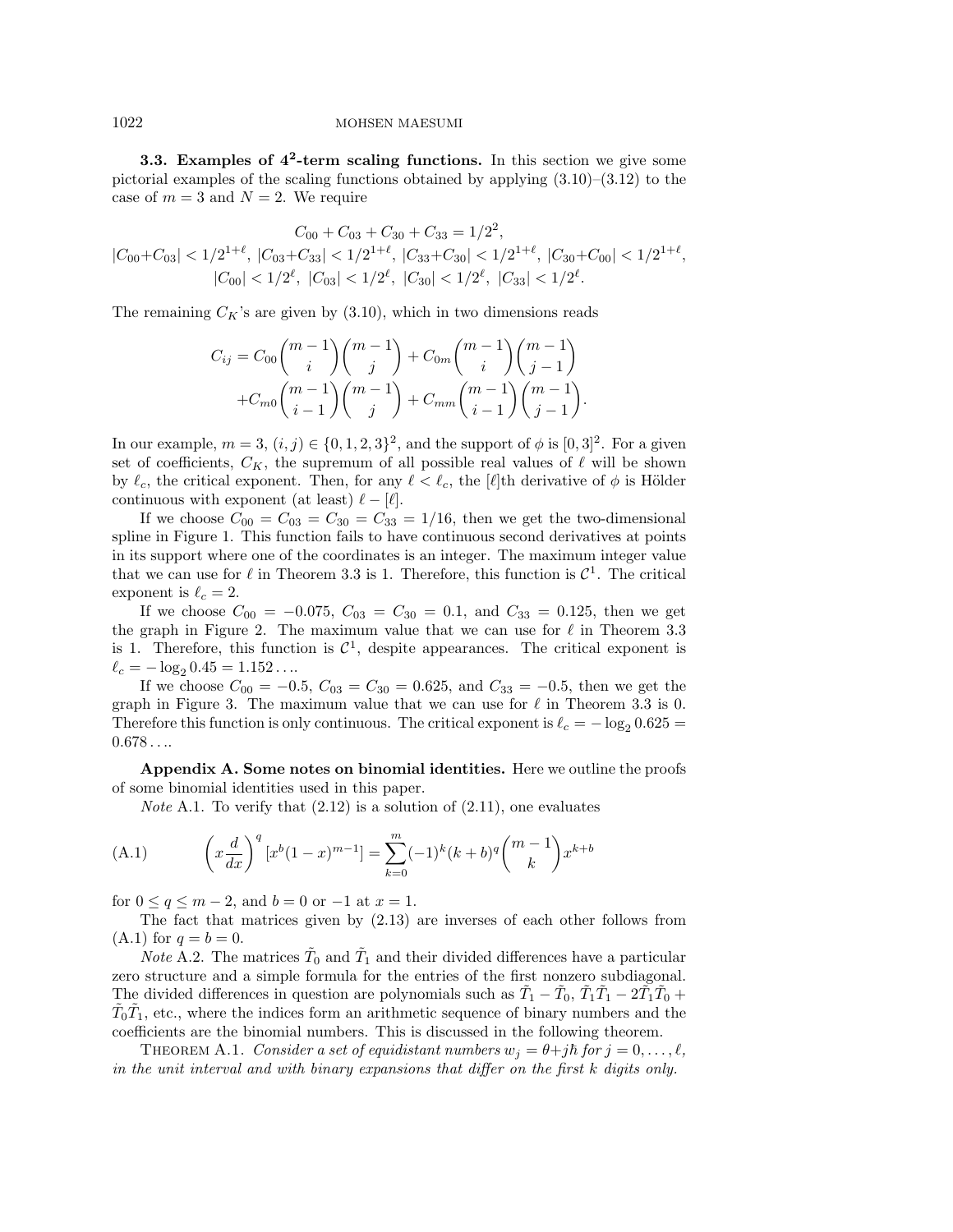**3.3. Examples of 4<sup>2</sup>-term scaling functions.** In this section we give some pictorial examples of the scaling functions obtained by applying  $(3.10)$ – $(3.12)$  to the case of  $m = 3$  and  $N = 2$ . We require

$$
C_{00} + C_{03} + C_{30} + C_{33} = 1/2^2,
$$
  

$$
|C_{00} + C_{03}| < 1/2^{1+\ell}, |C_{03} + C_{33}| < 1/2^{1+\ell}, |C_{33} + C_{30}| < 1/2^{1+\ell}, |C_{30} + C_{00}| < 1/2^{1+\ell},
$$
  

$$
|C_{00}| < 1/2^{\ell}, |C_{03}| < 1/2^{\ell}, |C_{30}| < 1/2^{\ell}, |C_{33}| < 1/2^{\ell}.
$$

The remaining  $C_K$ 's are given by  $(3.10)$ , which in two dimensions reads

$$
C_{ij} = C_{00} {m-1 \choose i} {m-1 \choose j} + C_{0m} {m-1 \choose i} {m-1 \choose j-1} + C_{m0} {m-1 \choose i-1} {m-1 \choose j-1} + C_{mm} {m-1 \choose i-1} {m-1 \choose j-1}.
$$

In our example,  $m = 3$ ,  $(i, j) \in \{0, 1, 2, 3\}^2$ , and the support of  $\phi$  is  $[0, 3]^2$ . For a given set of coefficients,  $C_K$ , the supremum of all possible real values of  $\ell$  will be shown by  $\ell_c$ , the critical exponent. Then, for any  $\ell < \ell_c$ , the [ $\ell$ ]th derivative of  $\phi$  is Hölder continuous with exponent (at least)  $\ell - [\ell].$ 

If we choose  $C_{00} = C_{03} = C_{30} = C_{33} = 1/16$ , then we get the two-dimensional spline in Figure 1. This function fails to have continuous second derivatives at points in its support where one of the coordinates is an integer. The maximum integer value that we can use for  $\ell$  in Theorem 3.3 is 1. Therefore, this function is  $\mathcal{C}^1$ . The critical exponent is  $\ell_c = 2$ .

If we choose  $C_{00} = -0.075$ ,  $C_{03} = C_{30} = 0.1$ , and  $C_{33} = 0.125$ , then we get the graph in Figure 2. The maximum value that we can use for  $\ell$  in Theorem 3.3 is 1. Therefore, this function is  $\mathcal{C}^1$ , despite appearances. The critical exponent is  $\ell_c = -\log_2 0.45 = 1.152 \ldots$ 

If we choose  $C_{00} = -0.5$ ,  $C_{03} = C_{30} = 0.625$ , and  $C_{33} = -0.5$ , then we get the graph in Figure 3. The maximum value that we can use for  $\ell$  in Theorem 3.3 is 0. Therefore this function is only continuous. The critical exponent is  $\ell_c = -\log_2 0.625$  =  $0.678...$ 

**Appendix A. Some notes on binomial identities.** Here we outline the proofs of some binomial identities used in this paper.

*Note* A.1. To verify that  $(2.12)$  is a solution of  $(2.11)$ , one evaluates

(A.1) 
$$
\left(x\frac{d}{dx}\right)^q [x^b(1-x)^{m-1}] = \sum_{k=0}^m (-1)^k (k+b)^q \binom{m-1}{k} x^{k+b}
$$

for  $0 \le q \le m-2$ , and  $b = 0$  or  $-1$  at  $x = 1$ .

The fact that matrices given by (2.13) are inverses of each other follows from (A.1) for  $q = b = 0$ .

*Note* A.2. The matrices  $\tilde{T}_0$  and  $\tilde{T}_1$  and their divided differences have a particular zero structure and a simple formula for the entries of the first nonzero subdiagonal. The divided differences in question are polynomials such as  $\tilde{T}_1 - \tilde{T}_0$ ,  $\tilde{T}_1\tilde{T}_1 - 2\tilde{T}_1\tilde{T}_0 +$  $\tilde{T}_0 \tilde{T}_1$ , etc., where the indices form an arithmetic sequence of binary numbers and the coefficients are the binomial numbers. This is discussed in the following theorem.

THEOREM A.1. Consider a set of equidistant numbers  $w_j = \theta + j\hbar$  for  $j = 0, \ldots, \ell$ , in the unit interval and with binary expansions that differ on the first k digits only.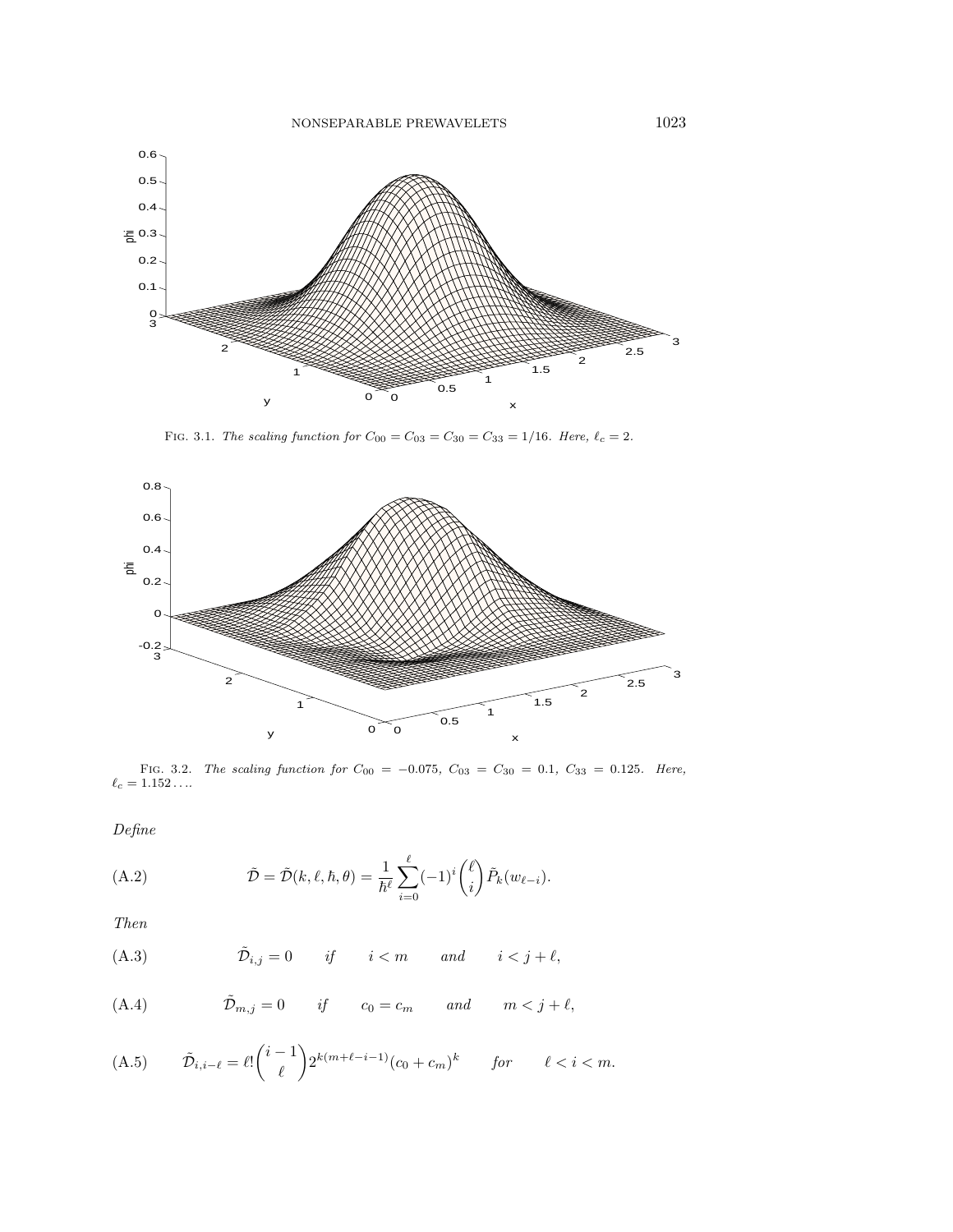

FIG. 3.1. The scaling function for  $C_{00} = C_{03} = C_{30} = C_{33} = 1/16$ . Here,  $\ell_c = 2$ .



FIG. 3.2. The scaling function for  $C_{00} = -0.075$ ,  $C_{03} = C_{30} = 0.1$ ,  $C_{33} = 0.125$ . Here,  $\ell_c = 1.152 \ldots$ 

Define

(A.2) 
$$
\tilde{\mathcal{D}} = \tilde{\mathcal{D}}(k,\ell,\hbar,\theta) = \frac{1}{\hbar^{\ell}} \sum_{i=0}^{\ell} (-1)^{i} {\ell \choose i} \tilde{P}_{k}(w_{\ell-i}).
$$

Then

(A.3) 
$$
\tilde{\mathcal{D}}_{i,j} = 0 \quad \text{if} \quad i < m \quad \text{and} \quad i < j + \ell,
$$

(A.4) 
$$
\tilde{\mathcal{D}}_{m,j} = 0
$$
 if  $c_0 = c_m$  and  $m < j + \ell$ ,

(A.5) 
$$
\tilde{\mathcal{D}}_{i,i-\ell} = \ell! \binom{i-1}{\ell} 2^{k(m+\ell-i-1)} (c_0 + c_m)^k \quad \text{for} \quad \ell < i < m.
$$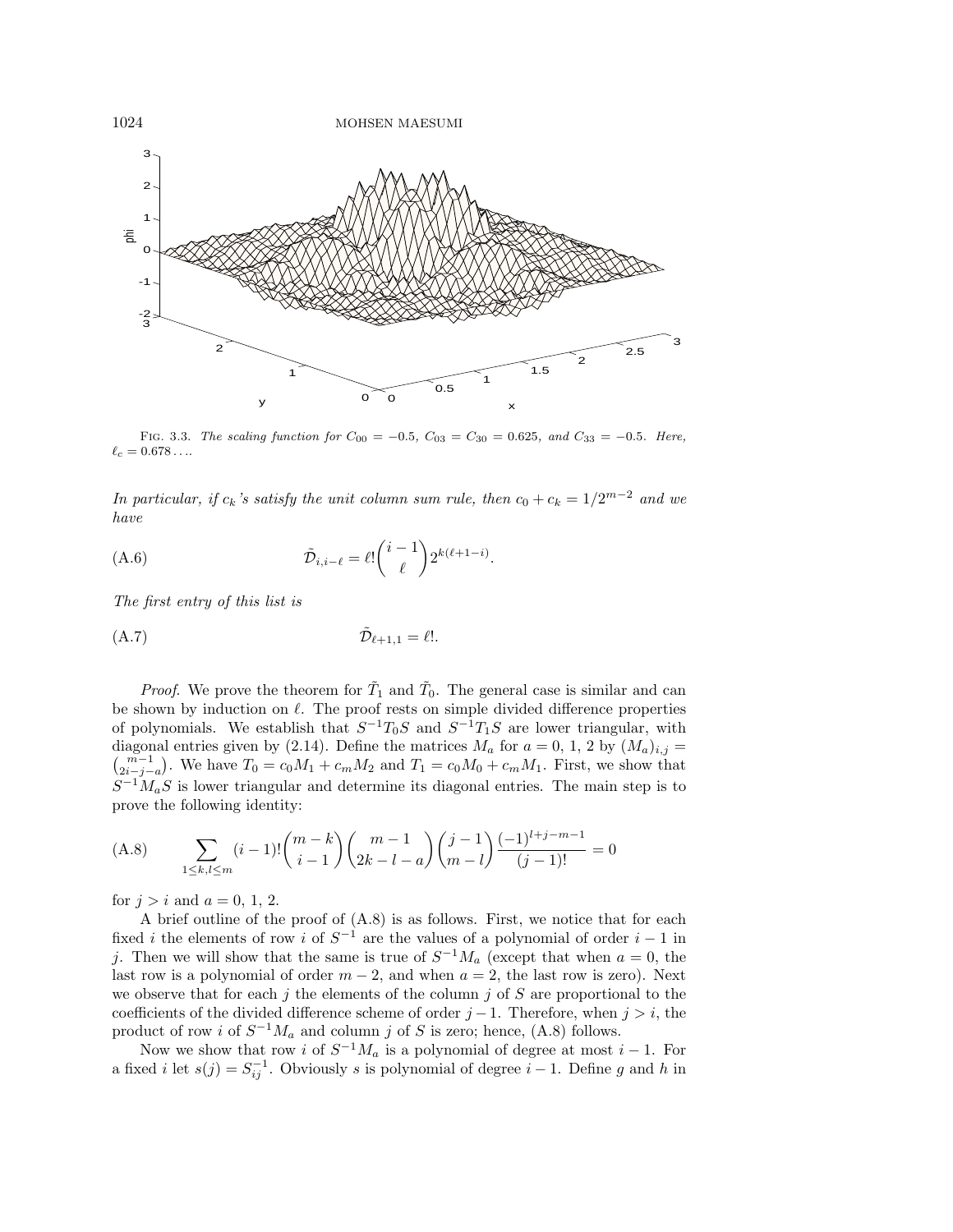

FIG. 3.3. The scaling function for  $C_{00} = -0.5$ ,  $C_{03} = C_{30} = 0.625$ , and  $C_{33} = -0.5$ . Here,  $\ell_c = 0.678\dots$ 

In particular, if  $c_k$ 's satisfy the unit column sum rule, then  $c_0 + c_k = 1/2^{m-2}$  and we have

(A.6) 
$$
\tilde{\mathcal{D}}_{i,i-\ell} = \ell! \binom{i-1}{\ell} 2^{k(\ell+1-i)}.
$$

The first entry of this list is

$$
\tilde{\mathcal{D}}_{\ell+1,1} = \ell!.
$$

*Proof.* We prove the theorem for  $\tilde{T}_1$  and  $\tilde{T}_0$ . The general case is similar and can be shown by induction on  $\ell$ . The proof rests on simple divided difference properties of polynomials. We establish that  $S^{-1}T_0S$  and  $S^{-1}T_1S$  are lower triangular, with diagonal entries given by (2.14). Define the matrices  $M_a$  for  $a = 0, 1, 2$  by  $(M_a)_{i,j} =$  $\binom{m-1}{2i-j-a}$ . We have  $T_0 = c_0M_1 + c_mM_2$  and  $T_1 = c_0M_0 + c_mM_1$ . First, we show that  $S^{-1}M_aS$  is lower triangular and determine its diagonal entries. The main step is to prove the following identity:

$$
(A.8)\qquad \sum_{1\leq k,l\leq m} (i-1)! \binom{m-k}{i-1} \binom{m-1}{2k-l-a} \binom{j-1}{m-l} \frac{(-1)^{l+j-m-1}}{(j-1)!} = 0
$$

for  $j>i$  and  $a=0, 1, 2$ .

A brief outline of the proof of (A.8) is as follows. First, we notice that for each fixed *i* the elements of row *i* of  $S^{-1}$  are the values of a polynomial of order  $i - 1$  in j. Then we will show that the same is true of  $S^{-1}M_a$  (except that when  $a=0$ , the last row is a polynomial of order  $m-2$ , and when  $a = 2$ , the last row is zero). Next we observe that for each j the elements of the column j of  $S$  are proportional to the coefficients of the divided difference scheme of order  $j-1$ . Therefore, when  $j>i$ , the product of row i of  $S^{-1}M_a$  and column j of S is zero; hence, (A.8) follows.

Now we show that row i of  $S^{-1}M_a$  is a polynomial of degree at most i – 1. For a fixed *i* let  $s(j) = S_{ij}^{-1}$ . Obviously *s* is polynomial of degree *i* – 1. Define *g* and *h* in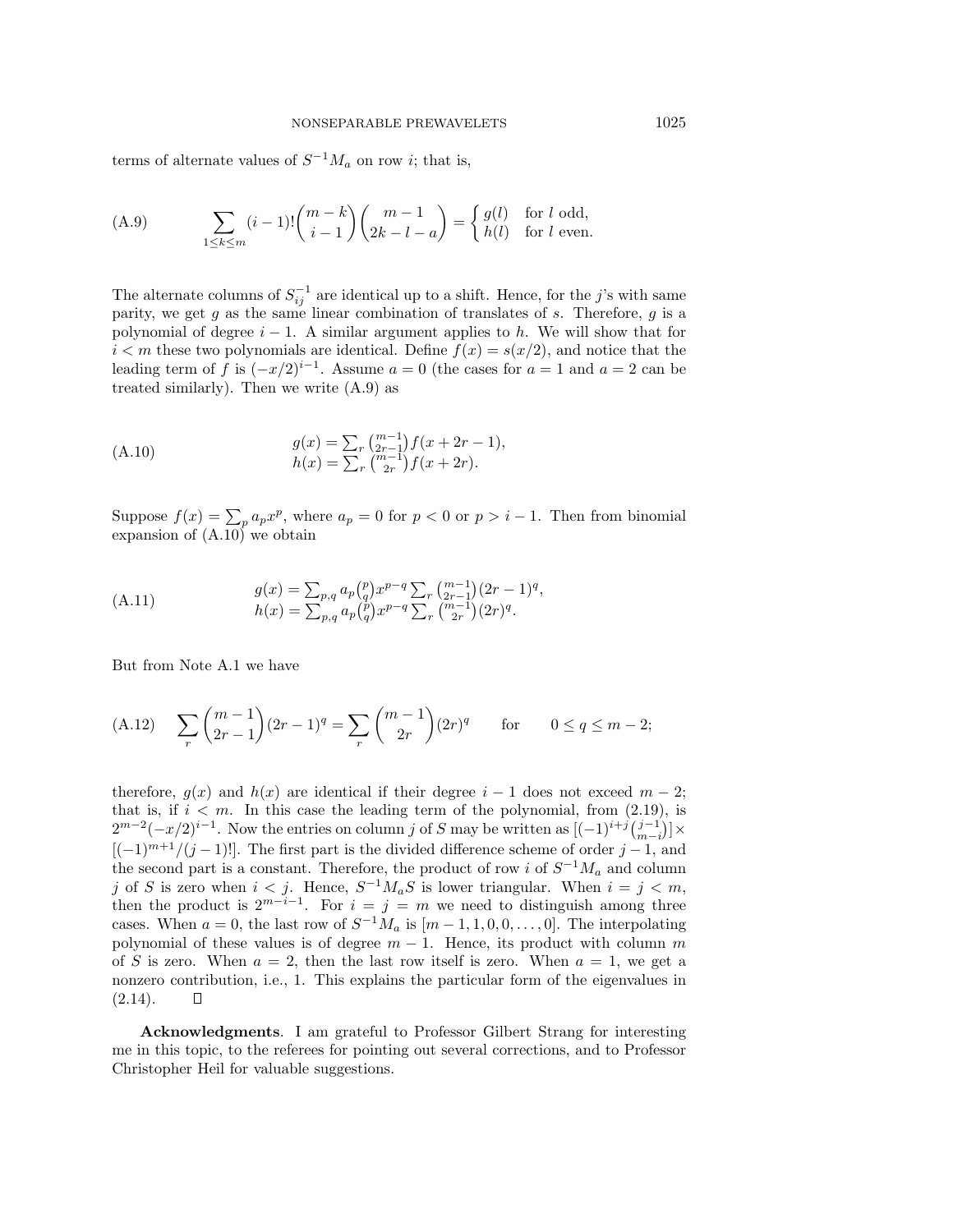terms of alternate values of  $S^{-1}M_a$  on row *i*; that is,

(A.9) 
$$
\sum_{1 \leq k \leq m} (i-1)! {m-k \choose i-1} {m-1 \choose 2k-l-a} = \begin{cases} g(l) & \text{for } l \text{ odd,} \\ h(l) & \text{for } l \text{ even.} \end{cases}
$$

The alternate columns of  $S_{ij}^{-1}$  are identical up to a shift. Hence, for the j's with same parity, we get  $g$  as the same linear combination of translates of  $s$ . Therefore,  $g$  is a polynomial of degree  $i - 1$ . A similar argument applies to h. We will show that for  $i < m$  these two polynomials are identical. Define  $f(x) = s(x/2)$ , and notice that the leading term of f is  $(-x/2)^{i-1}$ . Assume  $a = 0$  (the cases for  $a = 1$  and  $a = 2$  can be treated similarly). Then we write (A.9) as

(A.10) 
$$
g(x) = \sum_{r} {m-1 \choose 2r-1} f(x + 2r - 1), h(x) = \sum_{r} {m-1 \choose 2r} f(x + 2r).
$$

Suppose  $f(x) = \sum_{p} a_p x^p$ , where  $a_p = 0$  for  $p < 0$  or  $p > i - 1$ . Then from binomial expansion of  $(A.10)$ <sup>'</sup> we obtain

(A.11) 
$$
g(x) = \sum_{p,q} a_p {p \choose q} x^{p-q} \sum_r {m-1 \choose 2r-1} (2r-1)^q,
$$

$$
h(x) = \sum_{p,q} a_p {p \choose q} x^{p-q} \sum_r {m-1 \choose 2r} (2r)^q.
$$

But from Note A.1 we have

(A.12) 
$$
\sum_{r} \binom{m-1}{2r-1} (2r-1)^q = \sum_{r} \binom{m-1}{2r} (2r)^q \quad \text{for} \quad 0 \le q \le m-2;
$$

therefore,  $q(x)$  and  $h(x)$  are identical if their degree  $i-1$  does not exceed  $m-2$ ; that is, if  $i < m$ . In this case the leading term of the polynomial, from (2.19), is  $2^{m-2}(-x/2)^{i-1}$ . Now the entries on column j of S may be written as  $[(-1)^{i+j} \binom{j-1}{m-i}] \times$  $[(-1)^{m+1}/(j-1)!]$ . The first part is the divided difference scheme of order j – 1, and the second part is a constant. Therefore, the product of row i of  $S^{-1}M_a$  and column j of S is zero when  $i < j$ . Hence,  $S^{-1}M_aS$  is lower triangular. When  $i = j < m$ , then the product is  $2^{m-i-1}$ . For  $i = j = m$  we need to distinguish among three cases. When  $a = 0$ , the last row of  $S^{-1}M_a$  is  $[m-1, 1, 0, 0, \ldots, 0]$ . The interpolating polynomial of these values is of degree  $m - 1$ . Hence, its product with column m of S is zero. When  $a = 2$ , then the last row itself is zero. When  $a = 1$ , we get a nonzero contribution, i.e., 1. This explains the particular form of the eigenvalues in  $(2.14).$  $\Box$ 

**Acknowledgments**. I am grateful to Professor Gilbert Strang for interesting me in this topic, to the referees for pointing out several corrections, and to Professor Christopher Heil for valuable suggestions.